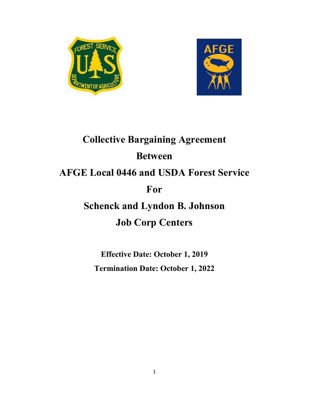



# **Collective Bargaining Agreement Between AFGE Local 0446 and USDA Forest Service For Schenck and Lyndon B. Johnson Job Corp Centers**

**Effective Date: October 1, 2019 Termination Date: October 1, 2022**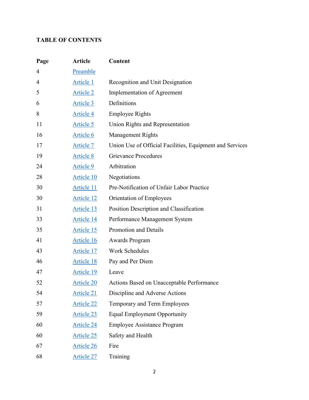# **TABLE OF CONTENTS**

| Page | <b>Article</b>    | Content                                                  |
|------|-------------------|----------------------------------------------------------|
| 4    | Preamble          |                                                          |
| 4    | Article 1         | Recognition and Unit Designation                         |
| 5    | <b>Article 2</b>  | Implementation of Agreement                              |
| 6    | Article 3         | Definitions                                              |
| 8    | <b>Article 4</b>  | <b>Employee Rights</b>                                   |
| 11   | Article 5         | Union Rights and Representation                          |
| 16   | Article 6         | <b>Management Rights</b>                                 |
| 17   | Article 7         | Union Use of Official Facilities, Equipment and Services |
| 19   | <b>Article 8</b>  | <b>Grievance Procedures</b>                              |
| 24   | <b>Article 9</b>  | Arbitration                                              |
| 28   | Article 10        | Negotiations                                             |
| 30   | Article 11        | Pre-Notification of Unfair Labor Practice                |
| 30   | <b>Article 12</b> | Orientation of Employees                                 |
| 31   | Article 13        | Position Description and Classification                  |
| 33   | Article 14        | Performance Management System                            |
| 35   | Article 15        | Promotion and Details                                    |
| 41   | Article 16        | <b>Awards Program</b>                                    |
| 43   | Article 17        | <b>Work Schedules</b>                                    |
| 46   | Article 18        | Pay and Per Diem                                         |
| 47   | Article 19        | Leave                                                    |
| 52   | <b>Article 20</b> | Actions Based on Unacceptable Performance                |
| 54   | Article 21        | Discipline and Adverse Actions                           |
| 57   | Article 22        | Temporary and Term Employees                             |
| 59   | Article 23        | <b>Equal Employment Opportunity</b>                      |
| 60   | Article 24        | <b>Employee Assistance Program</b>                       |
| 60   | Article 25        | Safety and Health                                        |
| 67   | Article 26        | Fire                                                     |
| 68   | Article 27        | Training                                                 |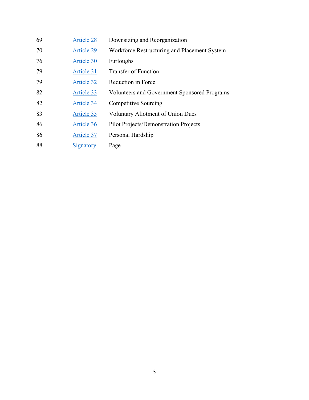| 69 | Article 28        | Downsizing and Reorganization                |
|----|-------------------|----------------------------------------------|
| 70 | Article 29        | Workforce Restructuring and Placement System |
| 76 | Article 30        | Furloughs                                    |
| 79 | Article 31        | <b>Transfer of Function</b>                  |
| 79 | <b>Article 32</b> | Reduction in Force                           |
| 82 | Article 33        | Volunteers and Government Sponsored Programs |
| 82 | Article 34        | Competitive Sourcing                         |
| 83 | Article 35        | <b>Voluntary Allotment of Union Dues</b>     |
| 86 | Article 36        | <b>Pilot Projects/Demonstration Projects</b> |
| 86 | Article 37        | Personal Hardship                            |
| 88 | Signatory         | Page                                         |
|    |                   |                                              |

\_\_\_\_\_\_\_\_\_\_\_\_\_\_\_\_\_\_\_\_\_\_\_\_\_\_\_\_\_\_\_\_\_\_\_\_\_\_\_\_\_\_\_\_\_\_\_\_\_\_\_\_\_\_\_\_\_\_\_\_\_\_\_\_\_\_\_\_\_\_\_\_\_\_\_\_\_\_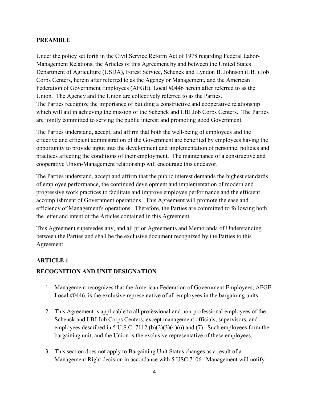#### <span id="page-3-0"></span>**PREAMBLE**

Under the policy set forth in the Civil Service Reform Act of 1978 regarding Federal Labor-Management Relations, the Articles of this Agreement by and between the United States Department of Agriculture (USDA), Forest Service, Schenck and Lyndon B. Johnson (LBJ) Job Corps Centers, herein after referred to as the Agency or Management, and the American Federation of Government Employees (AFGE), Local #0446 herein after referred to as the Union. The Agency and the Union are collectively referred to as the Parties. The Parties recognize the importance of building a constructive and cooperative relationship which will aid in achieving the mission of the Schenck and LBJ Job Corps Centers. The Parties are jointly committed to serving the public interest and promoting good Government.

The Parties understand, accept, and affirm that both the well-being of employees and the effective and efficient administration of the Government are benefited by employees having the opportunity to provide input into the development and implementation of personnel policies and practices affecting the conditions of their employment. The maintenance of a constructive and cooperative Union-Management relationship will encourage this endeavor.

The Parties understand, accept and affirm that the public interest demands the highest standards of employee performance, the continued development and implementation of modern and progressive work practices to facilitate and improve employee performance and the efficient accomplishment of Government operations. This Agreement will promote the ease and efficiency of Management's operations. Therefore, the Parties are committed to following both the letter and intent of the Articles contained in this Agreement.

This Agreement supersedes any, and all prior Agreements and Memoranda of Understanding between the Parties and shall be the exclusive document recognized by the Parties to this Agreement.

## <span id="page-3-1"></span>**ARTICLE 1**

## **RECOGNITION AND UNIT DESIGNATION**

- 1. Management recognizes that the American Federation of Government Employees, AFGE Local #0446, is the exclusive representative of all employees in the bargaining units.
- 2. This Agreement is applicable to all professional and non-professional employees of the Schenck and LBJ Job Corps Centers, except management officials, supervisors, and employees described in 5 U.S.C. 7112 (b)(2)(3)(4)(6) and (7). Such employees form the bargaining unit, and the Union is the exclusive representative of these employees.
- 3. This section does not apply to Bargaining Unit Status changes as a result of a Management Right decision in accordance with 5 USC 7106. Management will notify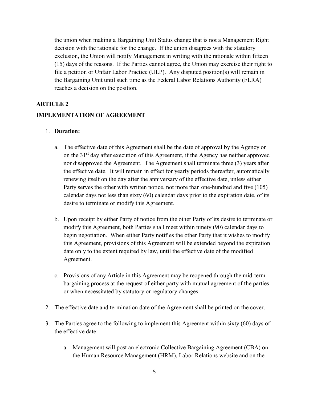the union when making a Bargaining Unit Status change that is not a Management Right decision with the rationale for the change. If the union disagrees with the statutory exclusion, the Union will notify Management in writing with the rationale within fifteen (15) days of the reasons. If the Parties cannot agree, the Union may exercise their right to file a petition or Unfair Labor Practice (ULP). Any disputed position(s) will remain in the Bargaining Unit until such time as the Federal Labor Relations Authority (FLRA) reaches a decision on the position.

#### <span id="page-4-0"></span>**ARTICLE 2**

#### **IMPLEMENTATION OF AGREEMENT**

#### 1. **Duration:**

- a. The effective date of this Agreement shall be the date of approval by the Agency or on the 31<sup>st</sup> day after execution of this Agreement, if the Agency has neither approved nor disapproved the Agreement. The Agreement shall terminate three (3) years after the effective date. It will remain in effect for yearly periods thereafter, automatically renewing itself on the day after the anniversary of the effective date, unless either Party serves the other with written notice, not more than one-hundred and five (105) calendar days not less than sixty (60) calendar days prior to the expiration date, of its desire to terminate or modify this Agreement.
- b. Upon receipt by either Party of notice from the other Party of its desire to terminate or modify this Agreement, both Parties shall meet within ninety (90) calendar days to begin negotiation. When either Party notifies the other Party that it wishes to modify this Agreement, provisions of this Agreement will be extended beyond the expiration date only to the extent required by law, until the effective date of the modified Agreement.
- c. Provisions of any Article in this Agreement may be reopened through the mid-term bargaining process at the request of either party with mutual agreement of the parties or when necessitated by statutory or regulatory changes.
- 2. The effective date and termination date of the Agreement shall be printed on the cover.
- 3. The Parties agree to the following to implement this Agreement within sixty (60) days of the effective date:
	- a. Management will post an electronic Collective Bargaining Agreement (CBA) on the Human Resource Management (HRM), Labor Relations website and on the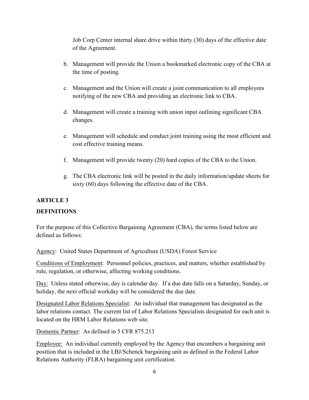Job Corp Center internal share drive within thirty (30) days of the effective date of the Agreement.

- b. Management will provide the Union a bookmarked electronic copy of the CBA at the time of posting.
- c. Management and the Union will create a joint communication to all employees notifying of the new CBA and providing an electronic link to CBA.
- d. Management will create a training with union input outlining significant CBA changes.
- e. Management will schedule and conduct joint training using the most efficient and cost effective training means.
- f. Management will provide twenty (20) hard copies of the CBA to the Union.
- <span id="page-5-0"></span>g. The CBA electronic link will be posted in the daily information/update sheets for sixty (60) days following the effective date of the CBA.

# **ARTICLE 3**

## **DEFINITIONS**

For the purpose of this Collective Bargaining Agreement (CBA), the terms listed below are defined as follows:

Agency: United States Department of Agriculture (USDA) Forest Service

Conditions of Employment: Personnel policies, practices, and matters, whether established by rule, regulation, or otherwise, affecting working conditions.

Day: Unless stated otherwise, day is calendar day. If a due date falls on a Saturday, Sunday, or holiday, the next official workday will be considered the due date.

Designated Labor Relations Specialist: An individual that management has designated as the labor relations contact. The current list of Labor Relations Specialists designated for each unit is located on the HRM Labor Relations web site.

Domestic Partner: As defined in 5 CFR 875.213

Employee: An individual currently employed by the Agency that encumbers a bargaining unit position that is included in the LBJ/Schenck bargaining unit as defined in the Federal Labor Relations Authority (FLRA) bargaining unit certification.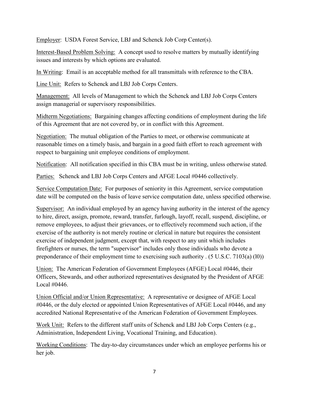Employer: USDA Forest Service, LBJ and Schenck Job Corp Center(s).

Interest-Based Problem Solving: A concept used to resolve matters by mutually identifying issues and interests by which options are evaluated.

In Writing: Email is an acceptable method for all transmittals with reference to the CBA.

Line Unit: Refers to Schenck and LBJ Job Corps Centers.

Management: All levels of Management to which the Schenck and LBJ Job Corps Centers assign managerial or supervisory responsibilities.

Midterm Negotiations: Bargaining changes affecting conditions of employment during the life of this Agreement that are not covered by, or in conflict with this Agreement.

Negotiation: The mutual obligation of the Parties to meet, or otherwise communicate at reasonable times on a timely basis, and bargain in a good faith effort to reach agreement with respect to bargaining unit employee conditions of employment.

Notification: All notification specified in this CBA must be in writing, unless otherwise stated.

Parties: Schenck and LBJ Job Corps Centers and AFGE Local #0446 collectively.

Service Computation Date: For purposes of seniority in this Agreement, service computation date will be computed on the basis of leave service computation date, unless specified otherwise.

Supervisor: An individual employed by an agency having authority in the interest of the agency to hire, direct, assign, promote, reward, transfer, furlough, layoff, recall, suspend, discipline, or remove employees, to adjust their grievances, or to effectively recommend such action, if the exercise of the authority is not merely routine or clerical in nature but requires the consistent exercise of independent judgment, except that, with respect to any unit which includes firefighters or nurses, the term "supervisor" includes only those individuals who devote a preponderance of their employment time to exercising such authority . (5 U.S.C. 7103(a) (l0))

Union: The American Federation of Government Employees (AFGE) Local #0446, their Officers, Stewards, and other authorized representatives designated by the President of AFGE Local #0446.

Union Official and/or Union Representative: A representative or designee of AFGE Local #0446, or the duly elected or appointed Union Representatives of AFGE Local #0446, and any accredited National Representative of the American Federation of Government Employees.

Work Unit: Refers to the different staff units of Schenck and LBJ Job Corps Centers (e.g., Administration, Independent Living, Vocational Training, and Education).

Working Conditions: The day-to-day circumstances under which an employee performs his or her job.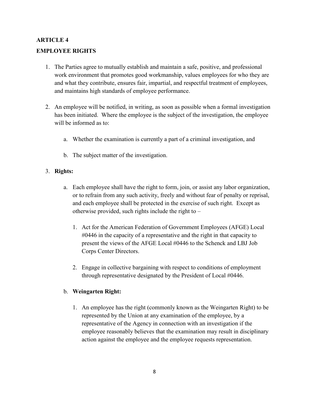## <span id="page-7-0"></span>**ARTICLE 4**

## **EMPLOYEE RIGHTS**

- 1. The Parties agree to mutually establish and maintain a safe, positive, and professional work environment that promotes good workmanship, values employees for who they are and what they contribute, ensures fair, impartial, and respectful treatment of employees, and maintains high standards of employee performance.
- 2. An employee will be notified, in writing, as soon as possible when a formal investigation has been initiated. Where the employee is the subject of the investigation, the employee will be informed as to:
	- a. Whether the examination is currently a part of a criminal investigation, and
	- b. The subject matter of the investigation.

#### 3. **Rights:**

- a. Each employee shall have the right to form, join, or assist any labor organization, or to refrain from any such activity, freely and without fear of penalty or reprisal, and each employee shall be protected in the exercise of such right. Except as otherwise provided, such rights include the right to  $-$ 
	- 1. Act for the American Federation of Government Employees (AFGE) Local #0446 in the capacity of a representative and the right in that capacity to present the views of the AFGE Local #0446 to the Schenck and LBJ Job Corps Center Directors.
	- 2. Engage in collective bargaining with respect to conditions of employment through representative designated by the President of Local #0446.

## b. **Weingarten Right:**

1. An employee has the right (commonly known as the Weingarten Right) to be represented by the Union at any examination of the employee, by a representative of the Agency in connection with an investigation if the employee reasonably believes that the examination may result in disciplinary action against the employee and the employee requests representation.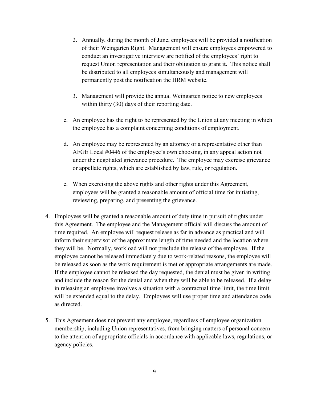- 2. Annually, during the month of June, employees will be provided a notification of their Weingarten Right. Management will ensure employees empowered to conduct an investigative interview are notified of the employees' right to request Union representation and their obligation to grant it. This notice shall be distributed to all employees simultaneously and management will permanently post the notification the HRM website.
- 3. Management will provide the annual Weingarten notice to new employees within thirty (30) days of their reporting date.
- c. An employee has the right to be represented by the Union at any meeting in which the employee has a complaint concerning conditions of employment.
- d. An employee may be represented by an attorney or a representative other than AFGE Local #0446 of the employee's own choosing, in any appeal action not under the negotiated grievance procedure. The employee may exercise grievance or appellate rights, which are established by law, rule, or regulation.
- e. When exercising the above rights and other rights under this Agreement, employees will be granted a reasonable amount of official time for initiating, reviewing, preparing, and presenting the grievance.
- 4. Employees will be granted a reasonable amount of duty time in pursuit of rights under this Agreement. The employee and the Management official will discuss the amount of time required. An employee will request release as far in advance as practical and will inform their supervisor of the approximate length of time needed and the location where they will be. Normally, workload will not preclude the release of the employee. If the employee cannot be released immediately due to work-related reasons, the employee will be released as soon as the work requirement is met or appropriate arrangements are made. If the employee cannot be released the day requested, the denial must be given in writing and include the reason for the denial and when they will be able to be released. If a delay in releasing an employee involves a situation with a contractual time limit, the time limit will be extended equal to the delay. Employees will use proper time and attendance code as directed.
- 5. This Agreement does not prevent any employee, regardless of employee organization membership, including Union representatives, from bringing matters of personal concern to the attention of appropriate officials in accordance with applicable laws, regulations, or agency policies.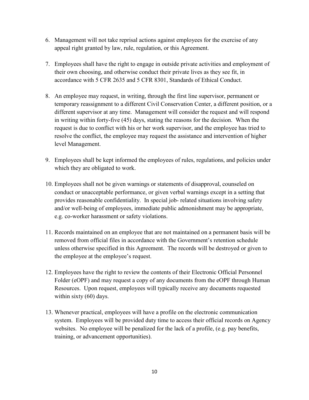- 6. Management will not take reprisal actions against employees for the exercise of any appeal right granted by law, rule, regulation, or this Agreement.
- 7. Employees shall have the right to engage in outside private activities and employment of their own choosing, and otherwise conduct their private lives as they see fit, in accordance with 5 CFR 2635 and 5 CFR 8301, Standards of Ethical Conduct.
- 8. An employee may request, in writing, through the first line supervisor, permanent or temporary reassignment to a different Civil Conservation Center, a different position, or a different supervisor at any time. Management will consider the request and will respond in writing within forty-five (45) days, stating the reasons for the decision. When the request is due to conflict with his or her work supervisor, and the employee has tried to resolve the conflict, the employee may request the assistance and intervention of higher level Management.
- 9. Employees shall be kept informed the employees of rules, regulations, and policies under which they are obligated to work.
- 10. Employees shall not be given warnings or statements of disapproval, counseled on conduct or unacceptable performance, or given verbal warnings except in a setting that provides reasonable confidentiality. In special job- related situations involving safety and/or well-being of employees, immediate public admonishment may be appropriate, e.g. co-worker harassment or safety violations.
- 11. Records maintained on an employee that are not maintained on a permanent basis will be removed from official files in accordance with the Government's retention schedule unless otherwise specified in this Agreement. The records will be destroyed or given to the employee at the employee's request.
- 12. Employees have the right to review the contents of their Electronic Official Personnel Folder (eOPF) and may request a copy of any documents from the eOPF through Human Resources. Upon request, employees will typically receive any documents requested within sixty (60) days.
- 13. Whenever practical, employees will have a profile on the electronic communication system. Employees will be provided duty time to access their official records on Agency websites. No employee will be penalized for the lack of a profile, (e.g. pay benefits, training, or advancement opportunities).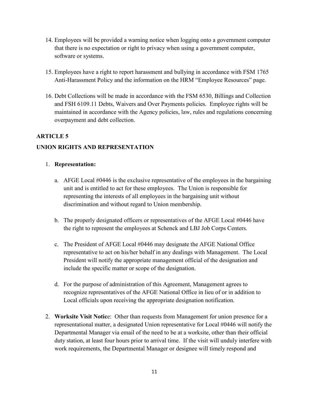- 14. Employees will be provided a warning notice when logging onto a government computer that there is no expectation or right to privacy when using a government computer, software or systems.
- 15. Employees have a right to report harassment and bullying in accordance with FSM 1765 Anti-Harassment Policy and the information on the HRM "Employee Resources" page.
- 16. Debt Collections will be made in accordance with the FSM 6530, Billings and Collection and FSH 6109.11 Debts, Waivers and Over Payments policies. Employee rights will be maintained in accordance with the Agency policies, law, rules and regulations concerning overpayment and debt collection.

# <span id="page-10-0"></span>**ARTICLE 5**

# **UNION RIGHTS AND REPRESENTATION**

## 1. **Representation:**

- a. AFGE Local #0446 is the exclusive representative of the employees in the bargaining unit and is entitled to act for these employees. The Union is responsible for representing the interests of all employees in the bargaining unit without discrimination and without regard to Union membership.
- b. The properly designated officers or representatives of the AFGE Local #0446 have the right to represent the employees at Schenck and LBJ Job Corps Centers.
- c. The President of AFGE Local #0446 may designate the AFGE National Office representative to act on his/her behalf in any dealings with Management. The Local President will notify the appropriate management official of the designation and include the specific matter or scope of the designation.
- d. For the purpose of administration of this Agreement, Management agrees to recognize representatives of the AFGE National Office in lieu of or in addition to Local officials upon receiving the appropriate designation notification.
- 2. **Worksite Visit Notic**e: Other than requests from Management for union presence for a representational matter, a designated Union representative for Local #0446 will notify the Departmental Manager via email of the need to be at a worksite, other than their official duty station, at least four hours prior to arrival time. If the visit will unduly interfere with work requirements, the Departmental Manager or designee will timely respond and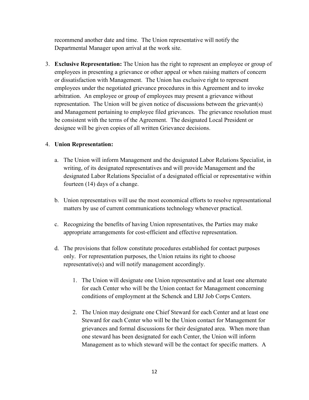recommend another date and time. The Union representative will notify the Departmental Manager upon arrival at the work site.

3. **Exclusive Representation:** The Union has the right to represent an employee or group of employees in presenting a grievance or other appeal or when raising matters of concern or dissatisfaction with Management. The Union has exclusive right to represent employees under the negotiated grievance procedures in this Agreement and to invoke arbitration. An employee or group of employees may present a grievance without representation. The Union will be given notice of discussions between the grievant(s) and Management pertaining to employee filed grievances. The grievance resolution must be consistent with the terms of the Agreement. The designated Local President or designee will be given copies of all written Grievance decisions.

#### 4. **Union Representation:**

- a. The Union will inform Management and the designated Labor Relations Specialist, in writing, of its designated representatives and will provide Management and the designated Labor Relations Specialist of a designated official or representative within fourteen (14) days of a change.
- b. Union representatives will use the most economical efforts to resolve representational matters by use of current communications technology whenever practical.
- c. Recognizing the benefits of having Union representatives, the Parties may make appropriate arrangements for cost-efficient and effective representation.
- d. The provisions that follow constitute procedures established for contact purposes only. For representation purposes, the Union retains its right to choose representative(s) and will notify management accordingly.
	- 1. The Union will designate one Union representative and at least one alternate for each Center who will be the Union contact for Management concerning conditions of employment at the Schenck and LBJ Job Corps Centers.
	- 2. The Union may designate one Chief Steward for each Center and at least one Steward for each Center who will be the Union contact for Management for grievances and formal discussions for their designated area. When more than one steward has been designated for each Center, the Union will inform Management as to which steward will be the contact for specific matters. A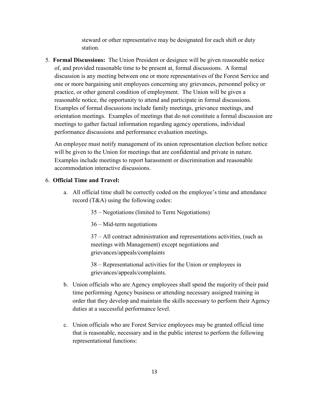steward or other representative may be designated for each shift or duty station.

5. **Formal Discussions:** The Union President or designee will be given reasonable notice of, and provided reasonable time to be present at, formal discussions. A formal discussion is any meeting between one or more representatives of the Forest Service and one or more bargaining unit employees concerning any grievances, personnel policy or practice, or other general condition of employment. The Union will be given a reasonable notice, the opportunity to attend and participate in formal discussions. Examples of formal discussions include family meetings, grievance meetings, and orientation meetings. Examples of meetings that do not constitute a formal discussion are meetings to gather factual information regarding agency operations, individual performance discussions and performance evaluation meetings.

An employee must notify management of its union representation election before notice will be given to the Union for meetings that are confidential and private in nature. Examples include meetings to report harassment or discrimination and reasonable accommodation interactive discussions.

#### 6. **Official Time and Travel:**

- a. All official time shall be correctly coded on the employee's time and attendance record (T&A) using the following codes:
	- 35 Negotiations (limited to Term Negotiations)
	- 36 Mid-term negotiations

37 – All contract administration and representations activities, (such as meetings with Management) except negotiations and grievances/appeals/complaints

38 – Representational activities for the Union or employees in grievances/appeals/complaints.

- b. Union officials who are Agency employees shall spend the majority of their paid time performing Agency business or attending necessary assigned training in order that they develop and maintain the skills necessary to perform their Agency duties at a successful performance level.
- c. Union officials who are Forest Service employees may be granted official time that is reasonable, necessary and in the public interest to perform the following representational functions: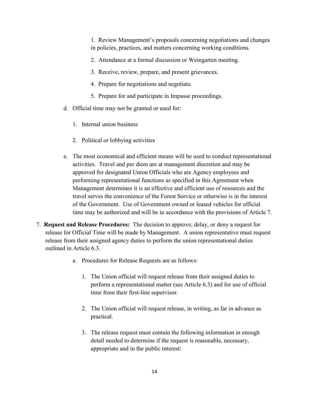1. Review Management's proposals concerning negotiations and changes in policies, practices, and matters concerning working conditions.

- 2. Attendance at a formal discussion or Weingarten meeting.
- 3. Receive, review, prepare, and present grievances.
- 4. Prepare for negotiations and negotiate.
- 5. Prepare for and participate in Impasse proceedings.
- d. Official time may not be granted or used for:
	- 1. Internal union business
	- 2. Political or lobbying activities
- e. The most economical and efficient means will be used to conduct representational activities. Travel and per diem are at management discretion and may be approved for designated Union Officials who are Agency employees and performing representational functions as specified in this Agreement when Management determines it is an effective and efficient use of resources and the travel serves the convenience of the Forest Service or otherwise is in the interest of the Government. Use of Government owned or leased vehicles for official time may be authorized and will be in accordance with the provisions of Article 7.
- 7. **Request and Release Procedures:** The decision to approve, delay, or deny a request for release for Official Time will be made by Management. A union representative must request release from their assigned agency duties to perform the union representational duties outlined in Article 6.3.
	- a. Procedures for Release Requests are as follows:
		- 1. The Union official will request release from their assigned duties to perform a representational matter (see Article 6.3) and for use of official time from their first-line supervisor.
		- 2. The Union official will request release, in writing, as far in advance as practical.
		- 3. The release request must contain the following information in enough detail needed to determine if the request is reasonable, necessary, appropriate and in the public interest: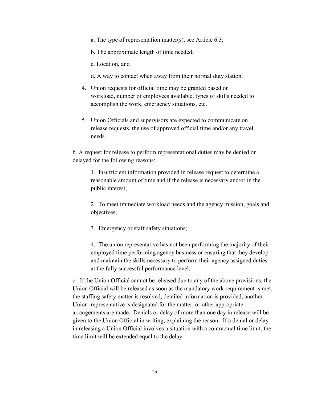- a. The type of representation matter(s), see Article 6.3;
- b. The approximate length of time needed;
- c. Location, and
- d. A way to contact when away from their normal duty station.
- 4. Union requests for official time may be granted based on workload, number of employees available, types of skills needed to accomplish the work, emergency situations, etc.
- 5. Union Officials and supervisors are expected to communicate on release requests, the use of approved official time and/or any travel needs.

b. A request for release to perform representational duties may be denied or delayed for the following reasons:

1. Insufficient information provided in release request to determine a reasonable amount of time and if the release is necessary and/or in the public interest;

2. To meet immediate workload needs and the agency mission, goals and objectives;

3. Emergency or staff safety situations;

4. The union representative has not been performing the majority of their employed time performing agency business or ensuring that they develop and maintain the skills necessary to perform their agency assigned duties at the fully successful performance level.

c. If the Union Official cannot be released due to any of the above provisions, the Union Official will be released as soon as the mandatory work requirement is met, the staffing safety matter is resolved, detailed information is provided, another Union representative is designated for the matter, or other appropriate arrangements are made. Denials or delay of more than one day in release will be given to the Union Official in writing, explaining the reason. If a denial or delay in releasing a Union Official involves a situation with a contractual time limit, the time limit will be extended equal to the delay.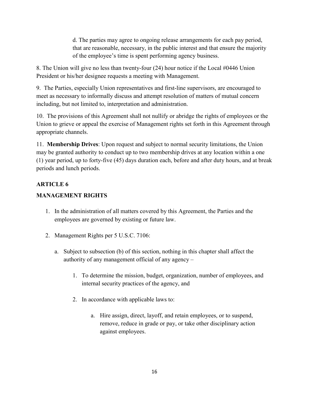d. The parties may agree to ongoing release arrangements for each pay period, that are reasonable, necessary, in the public interest and that ensure the majority of the employee's time is spent performing agency business.

8. The Union will give no less than twenty-four (24) hour notice if the Local #0446 Union President or his/her designee requests a meeting with Management.

9. The Parties, especially Union representatives and first-line supervisors, are encouraged to meet as necessary to informally discuss and attempt resolution of matters of mutual concern including, but not limited to, interpretation and administration.

10. The provisions of this Agreement shall not nullify or abridge the rights of employees or the Union to grieve or appeal the exercise of Management rights set forth in this Agreement through appropriate channels.

11. **Membership Drives**: Upon request and subject to normal security limitations, the Union may be granted authority to conduct up to two membership drives at any location within a one (1) year period, up to forty-five (45) days duration each, before and after duty hours, and at break periods and lunch periods.

# <span id="page-15-0"></span>**ARTICLE 6**

# **MANAGEMENT RIGHTS**

- 1. In the administration of all matters covered by this Agreement, the Parties and the employees are governed by existing or future law.
- 2. Management Rights per 5 U.S.C. 7106:
	- a. Subject to subsection (b) of this section, nothing in this chapter shall affect the authority of any management official of any agency –
		- 1. To determine the mission, budget, organization, number of employees, and internal security practices of the agency, and
		- 2. In accordance with applicable laws to:
			- a. Hire assign, direct, layoff, and retain employees, or to suspend, remove, reduce in grade or pay, or take other disciplinary action against employees.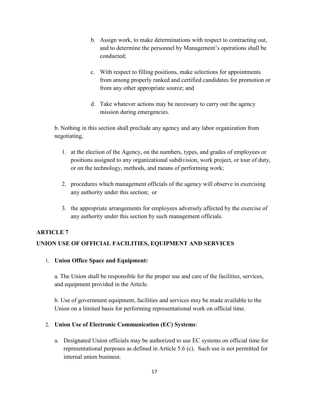- b. Assign work, to make determinations with respect to contracting out, and to determine the personnel by Management's operations shall be conducted;
- c. With respect to filling positions, make selections for appointments from among properly ranked and certified candidates for promotion or from any other appropriate source; and
- d. Take whatever actions may be necessary to carry out the agency mission during emergencies.

b. Nothing in this section shall preclude any agency and any labor organization from negotiating,

- 1. at the election of the Agency, on the numbers, types, and grades of employees or positions assigned to any organizational subdivision, work project, or tour of duty, or on the technology, methods, and means of performing work;
- 2. procedures which management officials of the agency will observe in exercising any authority under this section; or
- <span id="page-16-0"></span>3. the appropriate arrangements for employees adversely affected by the exercise of any authority under this section by such management officials.

## **ARTICLE 7**

# **UNION USE OF OFFICIAL FACILITIES, EQUIPMENT AND SERVICES**

1. **Union Office Space and Equipment:** 

a. The Union shall be responsible for the proper use and care of the facilities, services, and equipment provided in the Article.

b. Use of government equipment, facilities and services may be made available to the Union on a limited basis for performing representational work on official time.

## 2. **Union Use of Electronic Communication (EC) Systems**:

a. Designated Union officials may be authorized to use EC systems on official time for representational purposes as defined in Article 5.6 (c). Such use is not permitted for internal union business.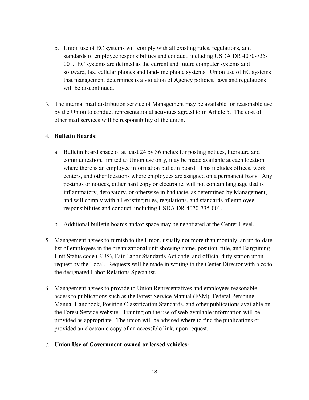- b. Union use of EC systems will comply with all existing rules, regulations, and standards of employee responsibilities and conduct, including USDA DR 4070-735- 001. EC systems are defined as the current and future computer systems and software, fax, cellular phones and land-line phone systems. Union use of EC systems that management determines is a violation of Agency policies, laws and regulations will be discontinued.
- 3. The internal mail distribution service of Management may be available for reasonable use by the Union to conduct representational activities agreed to in Article 5. The cost of other mail services will be responsibility of the union.

#### 4. **Bulletin Boards**:

- a. Bulletin board space of at least 24 by 36 inches for posting notices, literature and communication, limited to Union use only, may be made available at each location where there is an employee information bulletin board. This includes offices, work centers, and other locations where employees are assigned on a permanent basis. Any postings or notices, either hard copy or electronic, will not contain language that is inflammatory, derogatory, or otherwise in bad taste, as determined by Management, and will comply with all existing rules, regulations, and standards of employee responsibilities and conduct, including USDA DR 4070-735-001.
- b. Additional bulletin boards and/or space may be negotiated at the Center Level.
- 5. Management agrees to furnish to the Union, usually not more than monthly, an up-to-date list of employees in the organizational unit showing name, position, title, and Bargaining Unit Status code (BUS), Fair Labor Standards Act code, and official duty station upon request by the Local. Requests will be made in writing to the Center Director with a cc to the designated Labor Relations Specialist.
- 6. Management agrees to provide to Union Representatives and employees reasonable access to publications such as the Forest Service Manual (FSM), Federal Personnel Manual Handbook, Position Classification Standards, and other publications available on the Forest Service website. Training on the use of web-available information will be provided as appropriate. The union will be advised where to find the publications or provided an electronic copy of an accessible link, upon request.

## 7. **Union Use of Government-owned or leased vehicles:**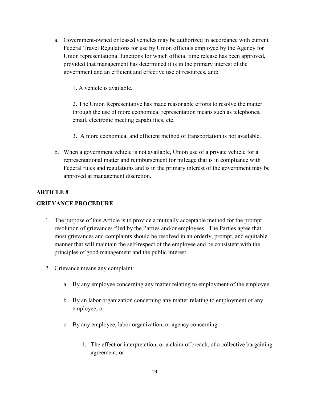a. Government-owned or leased vehicles may be authorized in accordance with current Federal Travel Regulations for use by Union officials employed by the Agency for Union representational functions for which official time release has been approved, provided that management has determined it is in the primary interest of the government and an efficient and effective use of resources, and:

1. A vehicle is available.

2. The Union Representative has made reasonable efforts to resolve the matter through the use of more economical representation means such as telephones, email, electronic meeting capabilities, etc.

- 3. A more economical and efficient method of transportation is not available.
- b. When a government vehicle is not available, Union use of a private vehicle for a representational matter and reimbursement for mileage that is in compliance with Federal rules and regulations and is in the primary interest of the government may be approved at management discretion.

## <span id="page-18-0"></span>**ARTICLE 8**

#### **GRIEVANCE PROCEDURE**

- 1. The purpose of this Article is to provide a mutually acceptable method for the prompt resolution of grievances filed by the Parties and/or employees. The Parties agree that most grievances and complaints should be resolved in an orderly, prompt, and equitable manner that will maintain the self-respect of the employee and be consistent with the principles of good management and the public interest.
- 2. Grievance means any complaint:
	- a. By any employee concerning any matter relating to employment of the employee;
	- b. By an labor organization concerning any matter relating to employment of any employee; or
	- c. By any employee, labor organization, or agency concerning
		- 1. The effect or interpretation, or a claim of breach, of a collective bargaining agreement, or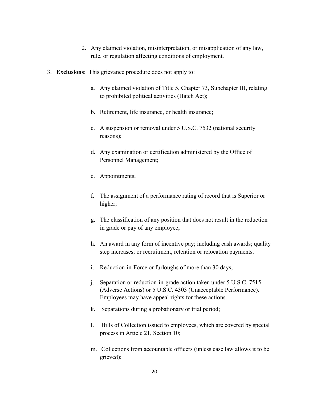- 2. Any claimed violation, misinterpretation, or misapplication of any law, rule, or regulation affecting conditions of employment.
- 3. **Exclusions**: This grievance procedure does not apply to:
	- a. Any claimed violation of Title 5, Chapter 73, Subchapter III, relating to prohibited political activities (Hatch Act);
	- b. Retirement, life insurance, or health insurance;
	- c. A suspension or removal under 5 U.S.C. 7532 (national security reasons);
	- d. Any examination or certification administered by the Office of Personnel Management;
	- e. Appointments;
	- f. The assignment of a performance rating of record that is Superior or higher;
	- g. The classification of any position that does not result in the reduction in grade or pay of any employee;
	- h. An award in any form of incentive pay; including cash awards; quality step increases; or recruitment, retention or relocation payments.
	- i. Reduction-in-Force or furloughs of more than 30 days;
	- j. Separation or reduction-in-grade action taken under 5 U.S.C. 7515 (Adverse Actions) or 5 U.S.C. 4303 (Unacceptable Performance). Employees may have appeal rights for these actions.
	- k. Separations during a probationary or trial period;
	- l. Bills of Collection issued to employees, which are covered by special process in Article 21, Section 10;
	- m. Collections from accountable officers (unless case law allows it to be grieved);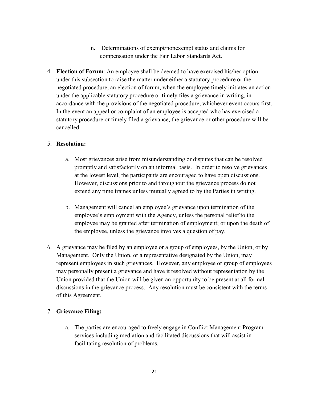- n. Determinations of exempt/nonexempt status and claims for compensation under the Fair Labor Standards Act.
- 4. **Election of Forum**: An employee shall be deemed to have exercised his/her option under this subsection to raise the matter under either a statutory procedure or the negotiated procedure, an election of forum, when the employee timely initiates an action under the applicable statutory procedure or timely files a grievance in writing, in accordance with the provisions of the negotiated procedure, whichever event occurs first. In the event an appeal or complaint of an employee is accepted who has exercised a statutory procedure or timely filed a grievance, the grievance or other procedure will be cancelled.

#### 5. **Resolution:**

- a. Most grievances arise from misunderstanding or disputes that can be resolved promptly and satisfactorily on an informal basis. In order to resolve grievances at the lowest level, the participants are encouraged to have open discussions. However, discussions prior to and throughout the grievance process do not extend any time frames unless mutually agreed to by the Parties in writing.
- b. Management will cancel an employee's grievance upon termination of the employee's employment with the Agency, unless the personal relief to the employee may be granted after termination of employment; or upon the death of the employee, unless the grievance involves a question of pay.
- 6. A grievance may be filed by an employee or a group of employees, by the Union, or by Management. Only the Union, or a representative designated by the Union, may represent employees in such grievances. However, any employee or group of employees may personally present a grievance and have it resolved without representation by the Union provided that the Union will be given an opportunity to be present at all formal discussions in the grievance process. Any resolution must be consistent with the terms of this Agreement.

## 7. **Grievance Filing:**

a. The parties are encouraged to freely engage in Conflict Management Program services including mediation and facilitated discussions that will assist in facilitating resolution of problems.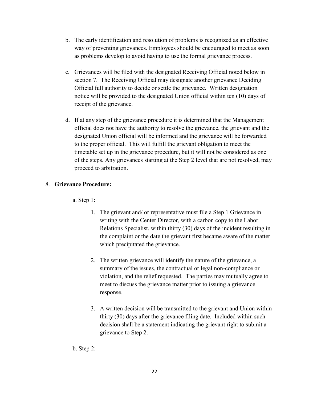- b. The early identification and resolution of problems is recognized as an effective way of preventing grievances. Employees should be encouraged to meet as soon as problems develop to avoid having to use the formal grievance process.
- c. Grievances will be filed with the designated Receiving Official noted below in section 7. The Receiving Official may designate another grievance Deciding Official full authority to decide or settle the grievance. Written designation notice will be provided to the designated Union official within ten (10) days of receipt of the grievance.
- d. If at any step of the grievance procedure it is determined that the Management official does not have the authority to resolve the grievance, the grievant and the designated Union official will be informed and the grievance will be forwarded to the proper official. This will fulfill the grievant obligation to meet the timetable set up in the grievance procedure, but it will not be considered as one of the steps. Any grievances starting at the Step 2 level that are not resolved, may proceed to arbitration.

## 8. **Grievance Procedure:**

a. Step 1:

- 1. The grievant and/ or representative must file a Step 1 Grievance in writing with the Center Director, with a carbon copy to the Labor Relations Specialist, within thirty (30) days of the incident resulting in the complaint or the date the grievant first became aware of the matter which precipitated the grievance.
- 2. The written grievance will identify the nature of the grievance, a summary of the issues, the contractual or legal non-compliance or violation, and the relief requested. The parties may mutually agree to meet to discuss the grievance matter prior to issuing a grievance response.
- 3. A written decision will be transmitted to the grievant and Union within thirty (30) days after the grievance filing date. Included within such decision shall be a statement indicating the grievant right to submit a grievance to Step 2.

b. Step 2: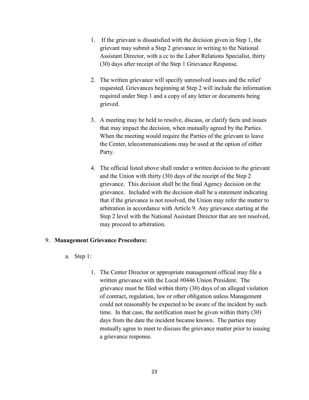- 1. If the grievant is dissatisfied with the decision given in Step 1, the grievant may submit a Step 2 grievance in writing to the National Assistant Director, with a cc to the Labor Relations Specialist, thirty (30) days after receipt of the Step 1 Grievance Response.
- 2. The written grievance will specify unresolved issues and the relief requested. Grievances beginning at Step 2 will include the information required under Step 1 and a copy of any letter or documents being grieved.
- 3. A meeting may be held to resolve, discuss, or clarify facts and issues that may impact the decision, when mutually agreed by the Parties. When the meeting would require the Parties of the grievant to leave the Center, telecommunications may be used at the option of either Party.
- 4. The official listed above shall render a written decision to the grievant and the Union with thirty (30) days of the receipt of the Step 2 grievance. This decision shall be the final Agency decision on the grievance. Included with the decision shall be a statement indicating that if the grievance is not resolved, the Union may refer the matter to arbitration in accordance with Article 9. Any grievance starting at the Step 2 level with the National Assistant Director that are not resolved, may proceed to arbitration.

#### 9. **Management Grievance Procedure:**

- a. Step 1:
	- 1. The Center Director or appropriate management official may file a written grievance with the Local #0446 Union President. The grievance must be filed within thirty (30) days of an alleged violation of contract, regulation, law or other obligation unless Management could not reasonably be expected to be aware of the incident by such time. In that case, the notification must be given within thirty (30) days from the date the incident became known. The parties may mutually agree to meet to discuss the grievance matter prior to issuing a grievance response.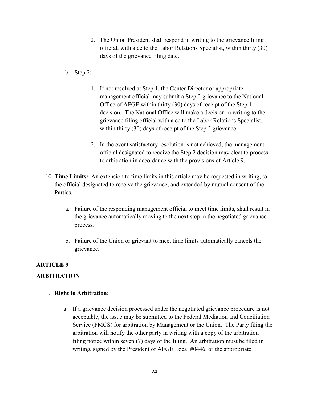- 2. The Union President shall respond in writing to the grievance filing official, with a cc to the Labor Relations Specialist, within thirty (30) days of the grievance filing date.
- b. Step 2:
	- 1. If not resolved at Step 1, the Center Director or appropriate management official may submit a Step 2 grievance to the National Office of AFGE within thirty (30) days of receipt of the Step 1 decision. The National Office will make a decision in writing to the grievance filing official with a cc to the Labor Relations Specialist, within thirty (30) days of receipt of the Step 2 grievance.
	- 2. In the event satisfactory resolution is not achieved, the management official designated to receive the Step 2 decision may elect to process to arbitration in accordance with the provisions of Article 9.
- 10. **Time Limits:** An extension to time limits in this article may be requested in writing, to the official designated to receive the grievance, and extended by mutual consent of the Parties.
	- a. Failure of the responding management official to meet time limits, shall result in the grievance automatically moving to the next step in the negotiated grievance process.
	- b. Failure of the Union or grievant to meet time limits automatically cancels the grievance.

# <span id="page-23-0"></span>**ARTICLE 9**

## **ARBITRATION**

## 1. **Right to Arbitration:**

a. If a grievance decision processed under the negotiated grievance procedure is not acceptable, the issue may be submitted to the Federal Mediation and Conciliation Service (FMCS) for arbitration by Management or the Union. The Party filing the arbitration will notify the other party in writing with a copy of the arbitration filing notice within seven (7) days of the filing. An arbitration must be filed in writing, signed by the President of AFGE Local #0446, or the appropriate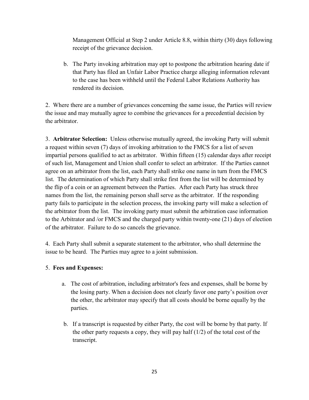Management Official at Step 2 under Article 8.8, within thirty (30) days following receipt of the grievance decision.

b. The Party invoking arbitration may opt to postpone the arbitration hearing date if that Party has filed an Unfair Labor Practice charge alleging information relevant to the case has been withheld until the Federal Labor Relations Authority has rendered its decision.

2. Where there are a number of grievances concerning the same issue, the Parties will review the issue and may mutually agree to combine the grievances for a precedential decision by the arbitrator.

3. **Arbitrator Selection:** Unless otherwise mutually agreed, the invoking Party will submit a request within seven (7) days of invoking arbitration to the FMCS for a list of seven impartial persons qualified to act as arbitrator. Within fifteen (15) calendar days after receipt of such list, Management and Union shall confer to select an arbitrator. If the Parties cannot agree on an arbitrator from the list, each Party shall strike one name in turn from the FMCS list. The determination of which Party shall strike first from the list will be determined by the flip of a coin or an agreement between the Parties. After each Party has struck three names from the list, the remaining person shall serve as the arbitrator. If the responding party fails to participate in the selection process, the invoking party will make a selection of the arbitrator from the list. The invoking party must submit the arbitration case information to the Arbitrator and /or FMCS and the charged party within twenty-one (21) days of election of the arbitrator. Failure to do so cancels the grievance.

4. Each Party shall submit a separate statement to the arbitrator, who shall determine the issue to be heard. The Parties may agree to a joint submission.

## 5. **Fees and Expenses:**

- a. The cost of arbitration, including arbitrator's fees and expenses, shall be borne by the losing party. When a decision does not clearly favor one party's position over the other, the arbitrator may specify that all costs should be borne equally by the parties.
- b. If a transcript is requested by either Party, the cost will be borne by that party. If the other party requests a copy, they will pay half (1/2) of the total cost of the transcript.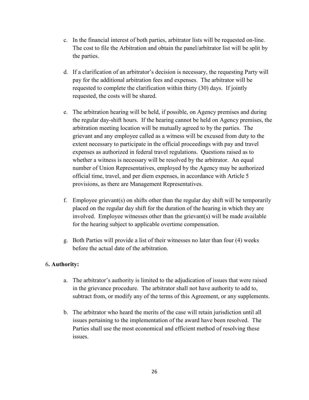- c. In the financial interest of both parties, arbitrator lists will be requested on-line. The cost to file the Arbitration and obtain the panel/arbitrator list will be split by the parties.
- d. If a clarification of an arbitrator's decision is necessary, the requesting Party will pay for the additional arbitration fees and expenses. The arbitrator will be requested to complete the clarification within thirty (30) days. If jointly requested, the costs will be shared.
- e. The arbitration hearing will be held, if possible, on Agency premises and during the regular day-shift hours. If the hearing cannot be held on Agency premises, the arbitration meeting location will be mutually agreed to by the parties. The grievant and any employee called as a witness will be excused from duty to the extent necessary to participate in the official proceedings with pay and travel expenses as authorized in federal travel regulations. Questions raised as to whether a witness is necessary will be resolved by the arbitrator. An equal number of Union Representatives, employed by the Agency may be authorized official time, travel, and per diem expenses, in accordance with Article 5 provisions, as there are Management Representatives.
- f. Employee grievant(s) on shifts other than the regular day shift will be temporarily placed on the regular day shift for the duration of the hearing in which they are involved. Employee witnesses other than the grievant(s) will be made available for the hearing subject to applicable overtime compensation.
- g. Both Parties will provide a list of their witnesses no later than four (4) weeks before the actual date of the arbitration.

## 6**. Authority:**

- a. The arbitrator's authority is limited to the adjudication of issues that were raised in the grievance procedure. The arbitrator shall not have authority to add to, subtract from, or modify any of the terms of this Agreement, or any supplements.
- b. The arbitrator who heard the merits of the case will retain jurisdiction until all issues pertaining to the implementation of the award have been resolved. The Parties shall use the most economical and efficient method of resolving these issues.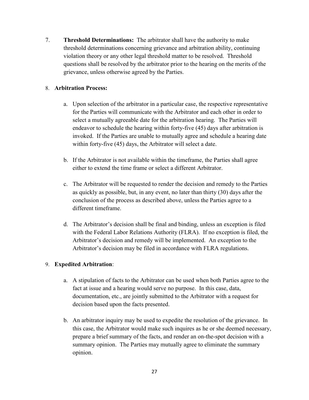7. **Threshold Determinations:** The arbitrator shall have the authority to make threshold determinations concerning grievance and arbitration ability, continuing violation theory or any other legal threshold matter to be resolved. Threshold questions shall be resolved by the arbitrator prior to the hearing on the merits of the grievance, unless otherwise agreed by the Parties.

## 8. **Arbitration Process:**

- a. Upon selection of the arbitrator in a particular case, the respective representative for the Parties will communicate with the Arbitrator and each other in order to select a mutually agreeable date for the arbitration hearing. The Parties will endeavor to schedule the hearing within forty-five (45) days after arbitration is invoked. If the Parties are unable to mutually agree and schedule a hearing date within forty-five (45) days, the Arbitrator will select a date.
- b. If the Arbitrator is not available within the timeframe, the Parties shall agree either to extend the time frame or select a different Arbitrator.
- c. The Arbitrator will be requested to render the decision and remedy to the Parties as quickly as possible, but, in any event, no later than thirty (30) days after the conclusion of the process as described above, unless the Parties agree to a different timeframe.
- d. The Arbitrator's decision shall be final and binding, unless an exception is filed with the Federal Labor Relations Authority (FLRA). If no exception is filed, the Arbitrator's decision and remedy will be implemented. An exception to the Arbitrator's decision may be filed in accordance with FLRA regulations.

#### 9. **Expedited Arbitration**:

- a. A stipulation of facts to the Arbitrator can be used when both Parties agree to the fact at issue and a hearing would serve no purpose. In this case, data, documentation, etc., are jointly submitted to the Arbitrator with a request for decision based upon the facts presented.
- b. An arbitrator inquiry may be used to expedite the resolution of the grievance. In this case, the Arbitrator would make such inquires as he or she deemed necessary, prepare a brief summary of the facts, and render an on-the-spot decision with a summary opinion. The Parties may mutually agree to eliminate the summary opinion.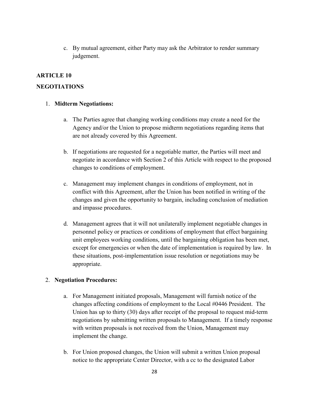<span id="page-27-0"></span>c. By mutual agreement, either Party may ask the Arbitrator to render summary judgement.

## **ARTICLE 10**

## **NEGOTIATIONS**

#### 1. **Midterm Negotiations:**

- a. The Parties agree that changing working conditions may create a need for the Agency and/or the Union to propose midterm negotiations regarding items that are not already covered by this Agreement.
- b. If negotiations are requested for a negotiable matter, the Parties will meet and negotiate in accordance with Section 2 of this Article with respect to the proposed changes to conditions of employment.
- c. Management may implement changes in conditions of employment, not in conflict with this Agreement, after the Union has been notified in writing of the changes and given the opportunity to bargain, including conclusion of mediation and impasse procedures.
- d. Management agrees that it will not unilaterally implement negotiable changes in personnel policy or practices or conditions of employment that effect bargaining unit employees working conditions, until the bargaining obligation has been met, except for emergencies or when the date of implementation is required by law. In these situations, post-implementation issue resolution or negotiations may be appropriate.

## 2. **Negotiation Procedures:**

- a. For Management initiated proposals, Management will furnish notice of the changes affecting conditions of employment to the Local #0446 President. The Union has up to thirty (30) days after receipt of the proposal to request mid-term negotiations by submitting written proposals to Management. If a timely response with written proposals is not received from the Union, Management may implement the change.
- b. For Union proposed changes, the Union will submit a written Union proposal notice to the appropriate Center Director, with a cc to the designated Labor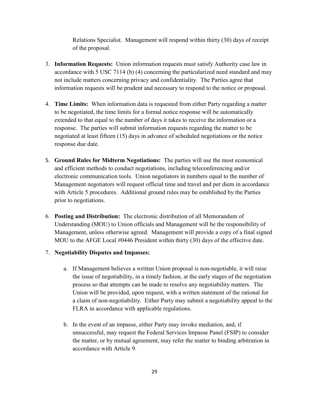Relations Specialist. Management will respond within thirty (30) days of receipt of the proposal.

- 3. **Information Requests:** Union information requests must satisfy Authority case law in accordance with 5 USC 7114 (b) (4) concerning the particularized need standard and may not include matters concerning privacy and confidentiality. The Parties agree that information requests will be prudent and necessary to respond to the notice or proposal.
- 4. **Time Limits:** When information data is requested from either Party regarding a matter to be negotiated, the time limits for a formal notice response will be automatically extended to that equal to the number of days it takes to receive the information or a response. The parties will submit information requests regarding the matter to be negotiated at least fifteen (15) days in advance of scheduled negotiations or the notice response due date.
- 5. **Ground Rules for Midterm Negotiations:** The parties will use the most economical and efficient methods to conduct negotiations, including teleconferencing and/or electronic communication tools. Union negotiators in numbers equal to the number of Management negotiators will request official time and travel and per diem in accordance with Article 5 procedures. Additional ground rules may be established by the Parties prior to negotiations.
- 6. **Posting and Distribution:** The electronic distribution of all Memorandum of Understanding (MOU) to Union officials and Management will be the responsibility of Management, unless otherwise agreed. Management will provide a copy of a final signed MOU to the AFGE Local #0446 President within thirty (30) days of the effective date.

## 7. **Negotiability Disputes and Impasses:**

- a. If Management believes a written Union proposal is non-negotiable, it will raise the issue of negotiability, in a timely fashion, at the early stages of the negotiation process so that attempts can be made to resolve any negotiability matters. The Union will be provided, upon request, with a written statement of the rational for a claim of non-negotiability. Either Party may submit a negotiability appeal to the FLRA in accordance with applicable regulations.
- b. In the event of an impasse, either Party may invoke mediation, and, if unsuccessful, may request the Federal Services Impasse Panel (FSIP) to consider the matter, or by mutual agreement, may refer the matter to binding arbitration in accordance with Article 9.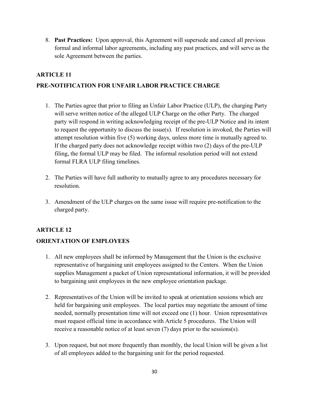8. **Past Practices:** Upon approval, this Agreement will supersede and cancel all previous formal and informal labor agreements, including any past practices, and will serve as the sole Agreement between the parties.

## <span id="page-29-0"></span>**ARTICLE 11**

## **PRE-NOTIFICATION FOR UNFAIR LABOR PRACTICE CHARGE**

- 1. The Parties agree that prior to filing an Unfair Labor Practice (ULP), the charging Party will serve written notice of the alleged ULP Charge on the other Party. The charged party will respond in writing acknowledging receipt of the pre-ULP Notice and its intent to request the opportunity to discuss the issue(s). If resolution is invoked, the Parties will attempt resolution within five (5) working days, unless more time is mutually agreed to. If the charged party does not acknowledge receipt within two (2) days of the pre-ULP filing, the formal ULP may be filed. The informal resolution period will not extend formal FLRA ULP filing timelines.
- 2. The Parties will have full authority to mutually agree to any procedures necessary for resolution.
- 3. Amendment of the ULP charges on the same issue will require pre-notification to the charged party.

## <span id="page-29-1"></span>**ARTICLE 12**

## **ORIENTATION OF EMPLOYEES**

- 1. All new employees shall be informed by Management that the Union is the exclusive representative of bargaining unit employees assigned to the Centers. When the Union supplies Management a packet of Union representational information, it will be provided to bargaining unit employees in the new employee orientation package.
- 2. Representatives of the Union will be invited to speak at orientation sessions which are held for bargaining unit employees. The local parties may negotiate the amount of time needed, normally presentation time will not exceed one (1) hour. Union representatives must request official time in accordance with Article 5 procedures. The Union will receive a reasonable notice of at least seven (7) days prior to the sessions(s).
- 3. Upon request, but not more frequently than monthly, the local Union will be given a list of all employees added to the bargaining unit for the period requested.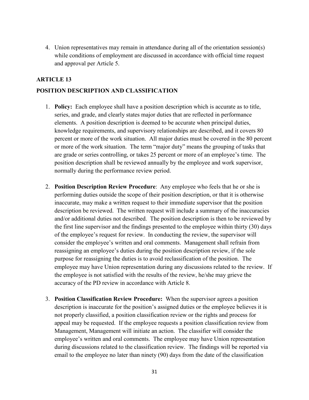4. Union representatives may remain in attendance during all of the orientation session(s) while conditions of employment are discussed in accordance with official time request and approval per Article 5.

## <span id="page-30-0"></span>**ARTICLE 13**

## **POSITION DESCRIPTION AND CLASSIFICATION**

- 1. **Policy:** Each employee shall have a position description which is accurate as to title, series, and grade, and clearly states major duties that are reflected in performance elements. A position description is deemed to be accurate when principal duties, knowledge requirements, and supervisory relationships are described, and it covers 80 percent or more of the work situation. All major duties must be covered in the 80 percent or more of the work situation. The term "major duty" means the grouping of tasks that are grade or series controlling, or takes 25 percent or more of an employee's time. The position description shall be reviewed annually by the employee and work supervisor, normally during the performance review period.
- 2. **Position Description Review Procedure**: Any employee who feels that he or she is performing duties outside the scope of their position description, or that it is otherwise inaccurate, may make a written request to their immediate supervisor that the position description be reviewed. The written request will include a summary of the inaccuracies and/or additional duties not described. The position description is then to be reviewed by the first line supervisor and the findings presented to the employee within thirty (30) days of the employee's request for review. In conducting the review, the supervisor will consider the employee's written and oral comments. Management shall refrain from reassigning an employee's duties during the position description review, if the sole purpose for reassigning the duties is to avoid reclassification of the position. The employee may have Union representation during any discussions related to the review. If the employee is not satisfied with the results of the review, he/she may grieve the accuracy of the PD review in accordance with Article 8.
- 3. **Position Classification Review Procedure:** When the supervisor agrees a position description is inaccurate for the position's assigned duties or the employee believes it is not properly classified, a position classification review or the rights and process for appeal may be requested. If the employee requests a position classification review from Management, Management will initiate an action. The classifier will consider the employee's written and oral comments. The employee may have Union representation during discussions related to the classification review. The findings will be reported via email to the employee no later than ninety (90) days from the date of the classification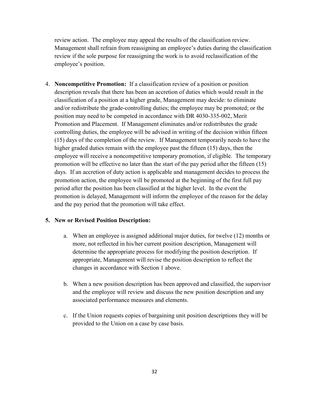review action. The employee may appeal the results of the classification review. Management shall refrain from reassigning an employee's duties during the classification review if the sole purpose for reassigning the work is to avoid reclassification of the employee's position.

4. **Noncompetitive Promotion:** If a classification review of a position or position description reveals that there has been an accretion of duties which would result in the classification of a position at a higher grade, Management may decide: to eliminate and/or redistribute the grade-controlling duties; the employee may be promoted; or the position may need to be competed in accordance with DR 4030-335-002, Merit Promotion and Placement. If Management eliminates and/or redistributes the grade controlling duties, the employee will be advised in writing of the decision within fifteen (15) days of the completion of the review. If Management temporarily needs to have the higher graded duties remain with the employee past the fifteen (15) days, then the employee will receive a noncompetitive temporary promotion, if eligible. The temporary promotion will be effective no later than the start of the pay period after the fifteen (15) days. If an accretion of duty action is applicable and management decides to process the promotion action, the employee will be promoted at the beginning of the first full pay period after the position has been classified at the higher level. In the event the promotion is delayed, Management will inform the employee of the reason for the delay and the pay period that the promotion will take effect.

## **5. New or Revised Position Description:**

- a. When an employee is assigned additional major duties, for twelve (12) months or more, not reflected in his/her current position description, Management will determine the appropriate process for modifying the position description. If appropriate, Management will revise the position description to reflect the changes in accordance with Section 1 above.
- b. When a new position description has been approved and classified, the supervisor and the employee will review and discuss the new position description and any associated performance measures and elements.
- c. If the Union requests copies of bargaining unit position descriptions they will be provided to the Union on a case by case basis.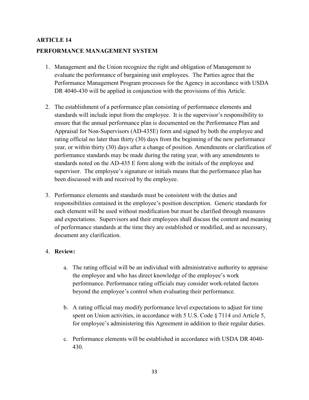# <span id="page-32-0"></span>**ARTICLE 14 PERFORMANCE MANAGEMENT SYSTEM**

- 1. Management and the Union recognize the right and obligation of Management to evaluate the performance of bargaining unit employees. The Parties agree that the Performance Management Program processes for the Agency in accordance with USDA DR 4040-430 will be applied in conjunction with the provisions of this Article.
- 2. The establishment of a performance plan consisting of performance elements and standards will include input from the employee. It is the supervisor's responsibility to ensure that the annual performance plan is documented on the Performance Plan and Appraisal for Non-Supervisors (AD-435E) form and signed by both the employee and rating official no later than thirty (30) days from the beginning of the new performance year, or within thirty (30) days after a change of position. Amendments or clarification of performance standards may be made during the rating year, with any amendments to standards noted on the AD-435 E form along with the initials of the employee and supervisor. The employee's signature or initials means that the performance plan has been discussed with and received by the employee.
- 3. Performance elements and standards must be consistent with the duties and responsibilities contained in the employee's position description. Generic standards for each element will be used without modification but must be clarified through measures and expectations. Supervisors and their employees shall discuss the content and meaning of performance standards at the time they are established or modified, and as necessary, document any clarification.

## 4. **Review:**

- a. The rating official will be an individual with administrative authority to appraise the employee and who has direct knowledge of the employee's work performance. Performance rating officials may consider work-related factors beyond the employee's control when evaluating their performance.
- b. A rating official may modify performance level expectations to adjust for time spent on Union activities, in accordance with 5 U.S. Code § 7114 and Article 5, for employee's administering this Agreement in addition to their regular duties.
- c. Performance elements will be established in accordance with USDA DR 4040- 430.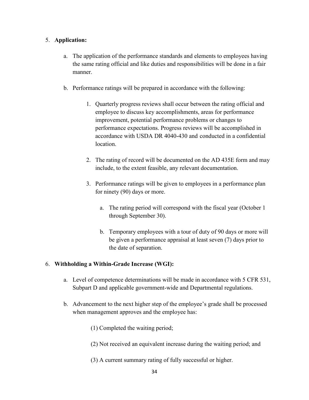## 5. **Application:**

- a. The application of the performance standards and elements to employees having the same rating official and like duties and responsibilities will be done in a fair manner.
- b. Performance ratings will be prepared in accordance with the following:
	- 1. Quarterly progress reviews shall occur between the rating official and employee to discuss key accomplishments, areas for performance improvement, potential performance problems or changes to performance expectations. Progress reviews will be accomplished in accordance with USDA DR 4040-430 and conducted in a confidential location.
	- 2. The rating of record will be documented on the AD 435E form and may include, to the extent feasible, any relevant documentation.
	- 3. Performance ratings will be given to employees in a performance plan for ninety (90) days or more.
		- a. The rating period will correspond with the fiscal year (October 1 through September 30).
		- b. Temporary employees with a tour of duty of 90 days or more will be given a performance appraisal at least seven (7) days prior to the date of separation.

# 6. **Withholding a Within-Grade Increase (WGI):**

- a. Level of competence determinations will be made in accordance with 5 CFR 531, Subpart D and applicable government-wide and Departmental regulations.
- b. Advancement to the next higher step of the employee's grade shall be processed when management approves and the employee has:
	- (1) Completed the waiting period;
	- (2) Not received an equivalent increase during the waiting period; and
	- (3) A current summary rating of fully successful or higher.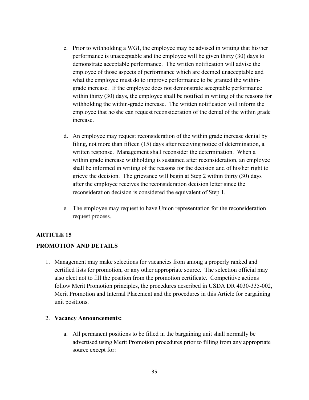- c. Prior to withholding a WGI, the employee may be advised in writing that his/her performance is unacceptable and the employee will be given thirty (30) days to demonstrate acceptable performance. The written notification will advise the employee of those aspects of performance which are deemed unacceptable and what the employee must do to improve performance to be granted the withingrade increase. If the employee does not demonstrate acceptable performance within thirty (30) days, the employee shall be notified in writing of the reasons for withholding the within-grade increase. The written notification will inform the employee that he/she can request reconsideration of the denial of the within grade increase.
- d. An employee may request reconsideration of the within grade increase denial by filing, not more than fifteen (15) days after receiving notice of determination, a written response. Management shall reconsider the determination. When a within grade increase withholding is sustained after reconsideration, an employee shall be informed in writing of the reasons for the decision and of his/her right to grieve the decision. The grievance will begin at Step 2 within thirty (30) days after the employee receives the reconsideration decision letter since the reconsideration decision is considered the equivalent of Step 1.
- <span id="page-34-0"></span>e. The employee may request to have Union representation for the reconsideration request process.

## **ARTICLE 15**

#### **PROMOTION AND DETAILS**

1. Management may make selections for vacancies from among a properly ranked and certified lists for promotion, or any other appropriate source. The selection official may also elect not to fill the position from the promotion certificate. Competitive actions follow Merit Promotion principles, the procedures described in USDA DR 4030-335-002, Merit Promotion and Internal Placement and the procedures in this Article for bargaining unit positions.

#### 2. **Vacancy Announcements:**

a. All permanent positions to be filled in the bargaining unit shall normally be advertised using Merit Promotion procedures prior to filling from any appropriate source except for: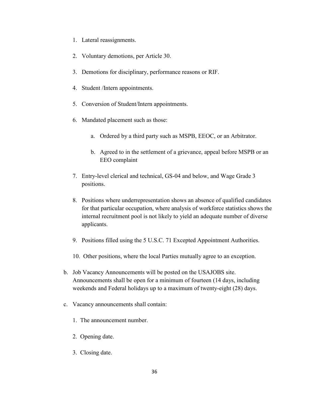- 1. Lateral reassignments.
- 2. Voluntary demotions, per Article 30.
- 3. Demotions for disciplinary, performance reasons or RIF.
- 4. Student /Intern appointments.
- 5. Conversion of Student/Intern appointments.
- 6. Mandated placement such as those:
	- a. Ordered by a third party such as MSPB, EEOC, or an Arbitrator.
	- b. Agreed to in the settlement of a grievance, appeal before MSPB or an EEO complaint
- 7. Entry-level clerical and technical, GS-04 and below, and Wage Grade 3 positions.
- 8. Positions where underrepresentation shows an absence of qualified candidates for that particular occupation, where analysis of workforce statistics shows the internal recruitment pool is not likely to yield an adequate number of diverse applicants.
- 9. Positions filled using the 5 U.S.C. 71 Excepted Appointment Authorities.
- 10. Other positions, where the local Parties mutually agree to an exception.
- b. Job Vacancy Announcements will be posted on the USAJOBS site. Announcements shall be open for a minimum of fourteen (14 days, including weekends and Federal holidays up to a maximum of twenty-eight (28) days.
- c. Vacancy announcements shall contain:
	- 1. The announcement number.
	- 2. Opening date.
	- 3. Closing date.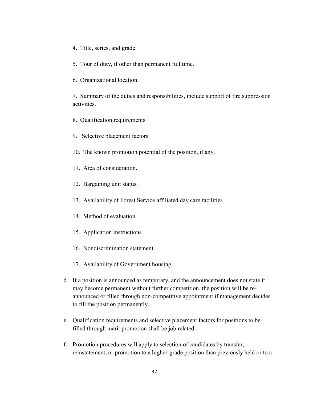- 4. Title, series, and grade.
- 5. Tour of duty, if other than permanent full time.
- 6. Organizational location.

7. Summary of the duties and responsibilities, include support of fire suppression activities.

- 8. Qualification requirements.
- 9. Selective placement factors.
- 10. The known promotion potential of the position, if any.
- 11. Area of consideration.
- 12. Bargaining unit status.
- 13. Availability of Forest Service affiliated day care facilities.
- 14. Method of evaluation.
- 15. Application instructions.
- 16. Nondiscrimination statement.
- 17. Availability of Government housing.
- d. If a position is announced as temporary, and the announcement does not state it may become permanent without further competition, the position will be reannounced or filled through non-competitive appointment if management decides to fill the position permanently.
- e. Qualification requirements and selective placement factors for positions to be filled through merit promotion shall be job related.
- f. Promotion procedures will apply to selection of candidates by transfer, reinstatement, or promotion to a higher-grade position than previously held or to a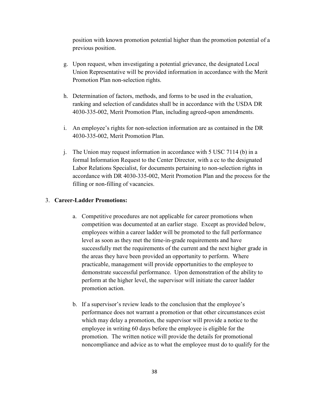position with known promotion potential higher than the promotion potential of a previous position.

- g. Upon request, when investigating a potential grievance, the designated Local Union Representative will be provided information in accordance with the Merit Promotion Plan non-selection rights.
- h. Determination of factors, methods, and forms to be used in the evaluation, ranking and selection of candidates shall be in accordance with the USDA DR 4030-335-002, Merit Promotion Plan, including agreed-upon amendments.
- i. An employee's rights for non-selection information are as contained in the DR 4030-335-002, Merit Promotion Plan.
- j. The Union may request information in accordance with 5 USC 7114 (b) in a formal Information Request to the Center Director, with a cc to the designated Labor Relations Specialist, for documents pertaining to non-selection rights in accordance with DR 4030-335-002, Merit Promotion Plan and the process for the filling or non-filling of vacancies.

## 3. **Career-Ladder Promotions:**

- a. Competitive procedures are not applicable for career promotions when competition was documented at an earlier stage. Except as provided below, employees within a career ladder will be promoted to the full performance level as soon as they met the time-in-grade requirements and have successfully met the requirements of the current and the next higher grade in the areas they have been provided an opportunity to perform. Where practicable, management will provide opportunities to the employee to demonstrate successful performance. Upon demonstration of the ability to perform at the higher level, the supervisor will initiate the career ladder promotion action.
- b. If a supervisor's review leads to the conclusion that the employee's performance does not warrant a promotion or that other circumstances exist which may delay a promotion, the supervisor will provide a notice to the employee in writing 60 days before the employee is eligible for the promotion. The written notice will provide the details for promotional noncompliance and advice as to what the employee must do to qualify for the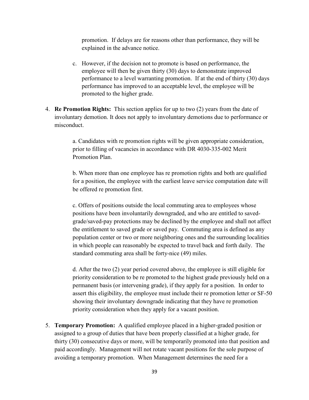promotion. If delays are for reasons other than performance, they will be explained in the advance notice.

- c. However, if the decision not to promote is based on performance, the employee will then be given thirty (30) days to demonstrate improved performance to a level warranting promotion. If at the end of thirty (30) days performance has improved to an acceptable level, the employee will be promoted to the higher grade.
- 4. **Re Promotion Rights:** This section applies for up to two (2) years from the date of involuntary demotion. It does not apply to involuntary demotions due to performance or misconduct.

a. Candidates with re promotion rights will be given appropriate consideration, prior to filling of vacancies in accordance with DR 4030-335-002 Merit Promotion Plan.

b. When more than one employee has re promotion rights and both are qualified for a position, the employee with the earliest leave service computation date will be offered re promotion first.

c. Offers of positions outside the local commuting area to employees whose positions have been involuntarily downgraded, and who are entitled to savedgrade/saved-pay protections may be declined by the employee and shall not affect the entitlement to saved grade or saved pay. Commuting area is defined as any population center or two or more neighboring ones and the surrounding localities in which people can reasonably be expected to travel back and forth daily. The standard commuting area shall be forty-nice (49) miles.

d. After the two (2) year period covered above, the employee is still eligible for priority consideration to be re promoted to the highest grade previously held on a permanent basis (or intervening grade), if they apply for a position. In order to assert this eligibility, the employee must include their re promotion letter or SF-50 showing their involuntary downgrade indicating that they have re promotion priority consideration when they apply for a vacant position.

5. **Temporary Promotion:** A qualified employee placed in a higher-graded position or assigned to a group of duties that have been properly classified at a higher grade, for thirty (30) consecutive days or more, will be temporarily promoted into that position and paid accordingly. Management will not rotate vacant positions for the sole purpose of avoiding a temporary promotion. When Management determines the need for a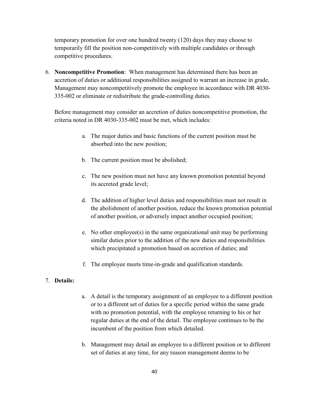temporary promotion for over one hundred twenty (120) days they may choose to temporarily fill the position non-competitively with multiple candidates or through competitive procedures.

6. **Noncompetitive Promotion**: When management has determined there has been an accretion of duties or additional responsibilities assigned to warrant an increase in grade, Management may noncompetitively promote the employee in accordance with DR 4030- 335-002 or eliminate or redistribute the grade-controlling duties.

Before management may consider an accretion of duties noncompetitive promotion, the criteria noted in DR 4030-335-002 must be met, which includes:

- a. The major duties and basic functions of the current position must be absorbed into the new position;
- b. The current position must be abolished;
- c. The new position must not have any known promotion potential beyond its accreted grade level;
- d. The addition of higher level duties and responsibilities must not result in the abolishment of another position, reduce the known promotion potential of another position, or adversely impact another occupied position;
- e. No other employee(s) in the same organizational unit may be performing similar duties prior to the addition of the new duties and responsibilities which precipitated a promotion based on accretion of duties; and
- f. The employee meets time-in-grade and qualification standards.

## 7. **Details:**

- a. A detail is the temporary assignment of an employee to a different position or to a different set of duties for a specific period within the same grade with no promotion potential, with the employee returning to his or her regular duties at the end of the detail. The employee continues to be the incumbent of the position from which detailed.
- b. Management may detail an employee to a different position or to different set of duties at any time, for any reason management deems to be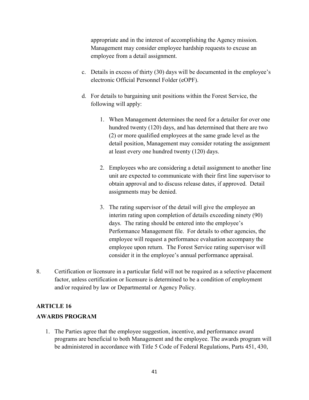appropriate and in the interest of accomplishing the Agency mission. Management may consider employee hardship requests to excuse an employee from a detail assignment.

- c. Details in excess of thirty (30) days will be documented in the employee's electronic Official Personnel Folder (eOPF).
- d. For details to bargaining unit positions within the Forest Service, the following will apply:
	- 1. When Management determines the need for a detailer for over one hundred twenty (120) days, and has determined that there are two (2) or more qualified employees at the same grade level as the detail position, Management may consider rotating the assignment at least every one hundred twenty (120) days.
	- 2. Employees who are considering a detail assignment to another line unit are expected to communicate with their first line supervisor to obtain approval and to discuss release dates, if approved. Detail assignments may be denied.
	- 3. The rating supervisor of the detail will give the employee an interim rating upon completion of details exceeding ninety (90) days. The rating should be entered into the employee's Performance Management file. For details to other agencies, the employee will request a performance evaluation accompany the employee upon return. The Forest Service rating supervisor will consider it in the employee's annual performance appraisal.
- 8. Certification or licensure in a particular field will not be required as a selective placement factor, unless certification or licensure is determined to be a condition of employment and/or required by law or Departmental or Agency Policy.

## **ARTICLE 16**

## **AWARDS PROGRAM**

1. The Parties agree that the employee suggestion, incentive, and performance award programs are beneficial to both Management and the employee. The awards program will be administered in accordance with Title 5 Code of Federal Regulations, Parts 451, 430,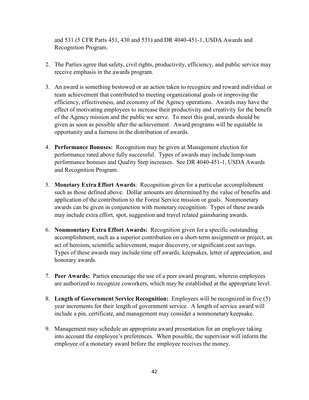and 531 (5 CFR Parts 451, 430 and 531) and DR 4040-451-1, USDA Awards and Recognition Program.

- 2. The Parties agree that safety, civil rights, productivity, efficiency, and public service may receive emphasis in the awards program.
- 3. An award is something bestowed or an action taken to recognize and reward individual or team achievement that contributed to meeting organizational goals or improving the efficiency, effectiveness, and economy of the Agency operations. Awards may have the effect of motivating employees to increase their productivity and creativity for the benefit of the Agency mission and the public we serve. To meet this goal, awards should be given as soon as possible after the achievement. Award programs will be equitable in opportunity and a fairness in the distribution of awards.
- 4. **Performance Bonuses:** Recognition may be given at Management election for performance rated above fully successful. Types of awards may include lump-sum performance bonuses and Quality Step increases. See DR 4040-451-1, USDA Awards and Recognition Program.
- 5. **Monetary Extra Effort Awards**: Recognition given for a particular accomplishment such as those defined above. Dollar amounts are determined by the value of benefits and application of the contribution to the Forest Service mission or goals. Nonmonetary awards can be given in conjunction with monetary recognition. Types of these awards may include extra effort, spot, suggestion and travel related gainsharing awards.
- 6. **Nonmonetary Extra Effort Awards:** Recognition given for a specific outstanding accomplishment, such as a superior contribution on a short-term assignment or project, an act of heroism, scientific achievement, major discovery, or significant cost savings. Types of these awards may include time off awards, keepsakes, letter of appreciation, and honorary awards.
- 7. **Peer Awards:** Parties encourage the use of a peer award program, wherein employees are authorized to recognize coworkers, which may be established at the appropriate level.
- 8. **Length of Government Service Recognition:** Employees will be recognized in five (5) year increments for their length of government service. A length of service award will include a pin, certificate, and management may consider a nonmonetary keepsake.
- 9. Management may schedule an appropriate award presentation for an employee taking into account the employee's preferences. When possible, the supervisor will inform the employee of a monetary award before the employee receives the money.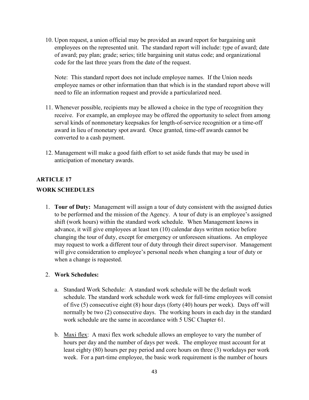10. Upon request, a union official may be provided an award report for bargaining unit employees on the represented unit. The standard report will include: type of award; date of award; pay plan; grade; series; title bargaining unit status code; and organizational code for the last three years from the date of the request.

Note: This standard report does not include employee names. If the Union needs employee names or other information than that which is in the standard report above will need to file an information request and provide a particularized need.

- 11. Whenever possible, recipients may be allowed a choice in the type of recognition they receive. For example, an employee may be offered the opportunity to select from among serval kinds of nonmonetary keepsakes for length-of-service recognition or a time-off award in lieu of monetary spot award. Once granted, time-off awards cannot be converted to a cash payment.
- 12. Management will make a good faith effort to set aside funds that may be used in anticipation of monetary awards.

# **ARTICLE 17**

### **WORK SCHEDULES**

1. **Tour of Duty:** Management will assign a tour of duty consistent with the assigned duties to be performed and the mission of the Agency. A tour of duty is an employee's assigned shift (work hours) within the standard work schedule. When Management knows in advance, it will give employees at least ten (10) calendar days written notice before changing the tour of duty, except for emergency or unforeseen situations. An employee may request to work a different tour of duty through their direct supervisor. Management will give consideration to employee's personal needs when changing a tour of duty or when a change is requested.

#### 2. **Work Schedules:**

- a. Standard Work Schedule: A standard work schedule will be the default work schedule. The standard work schedule work week for full-time employees will consist of five (5) consecutive eight (8) hour days (forty (40) hours per week). Days off will normally be two (2) consecutive days. The working hours in each day in the standard work schedule are the same in accordance with 5 USC Chapter 61.
- b. Maxi flex: A maxi flex work schedule allows an employee to vary the number of hours per day and the number of days per week. The employee must account for at least eighty (80) hours per pay period and core hours on three (3) workdays per work week. For a part-time employee, the basic work requirement is the number of hours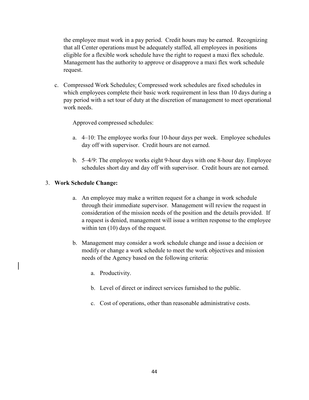the employee must work in a pay period. Credit hours may be earned. Recognizing that all Center operations must be adequately staffed, all employees in positions eligible for a flexible work schedule have the right to request a maxi flex schedule. Management has the authority to approve or disapprove a maxi flex work schedule request.

c. Compressed Work Schedules: Compressed work schedules are fixed schedules in which employees complete their basic work requirement in less than 10 days during a pay period with a set tour of duty at the discretion of management to meet operational work needs.

Approved compressed schedules:

- a. 4–10: The employee works four 10-hour days per week. Employee schedules day off with supervisor. Credit hours are not earned.
- b. 5–4/9: The employee works eight 9-hour days with one 8-hour day. Employee schedules short day and day off with supervisor. Credit hours are not earned.

### 3. **Work Schedule Change:**

- a. An employee may make a written request for a change in work schedule through their immediate supervisor. Management will review the request in consideration of the mission needs of the position and the details provided. If a request is denied, management will issue a written response to the employee within ten  $(10)$  days of the request.
- b. Management may consider a work schedule change and issue a decision or modify or change a work schedule to meet the work objectives and mission needs of the Agency based on the following criteria:
	- a. Productivity.
	- b. Level of direct or indirect services furnished to the public.
	- c. Cost of operations, other than reasonable administrative costs.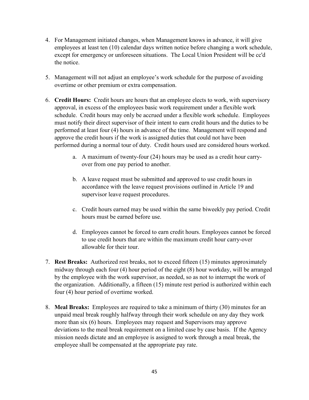- 4. For Management initiated changes, when Management knows in advance, it will give employees at least ten (10) calendar days written notice before changing a work schedule, except for emergency or unforeseen situations. The Local Union President will be cc'd the notice.
- 5. Management will not adjust an employee's work schedule for the purpose of avoiding overtime or other premium or extra compensation.
- 6. **Credit Hours:** Credit hours are hours that an employee elects to work, with supervisory approval, in excess of the employees basic work requirement under a flexible work schedule. Credit hours may only be accrued under a flexible work schedule. Employees must notify their direct supervisor of their intent to earn credit hours and the duties to be performed at least four (4) hours in advance of the time. Management will respond and approve the credit hours if the work is assigned duties that could not have been performed during a normal tour of duty. Credit hours used are considered hours worked.
	- a. A maximum of twenty-four (24) hours may be used as a credit hour carryover from one pay period to another.
	- b. A leave request must be submitted and approved to use credit hours in accordance with the leave request provisions outlined in Article 19 and supervisor leave request procedures.
	- c. Credit hours earned may be used within the same biweekly pay period. Credit hours must be earned before use.
	- d. Employees cannot be forced to earn credit hours. Employees cannot be forced to use credit hours that are within the maximum credit hour carry-over allowable for their tour.
- 7. **Rest Breaks:** Authorized rest breaks, not to exceed fifteen (15) minutes approximately midway through each four (4) hour period of the eight (8) hour workday, will be arranged by the employee with the work supervisor, as needed, so as not to interrupt the work of the organization. Additionally, a fifteen (15) minute rest period is authorized within each four (4) hour period of overtime worked.
- 8. **Meal Breaks:** Employees are required to take a minimum of thirty (30) minutes for an unpaid meal break roughly halfway through their work schedule on any day they work more than six (6) hours. Employees may request and Supervisors may approve deviations to the meal break requirement on a limited case by case basis. If the Agency mission needs dictate and an employee is assigned to work through a meal break, the employee shall be compensated at the appropriate pay rate.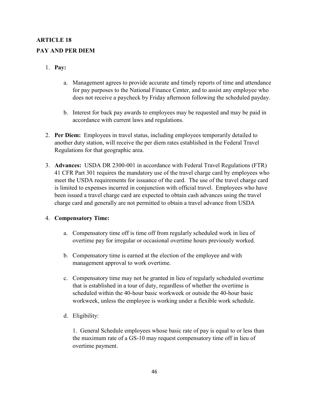# **ARTICLE 18 PAY AND PER DIEM**

# 1. **Pay:**

- a. Management agrees to provide accurate and timely reports of time and attendance for pay purposes to the National Finance Center, and to assist any employee who does not receive a paycheck by Friday afternoon following the scheduled payday.
- b. Interest for back pay awards to employees may be requested and may be paid in accordance with current laws and regulations.
- 2. **Per Diem:** Employees in travel status, including employees temporarily detailed to another duty station, will receive the per diem rates established in the Federal Travel Regulations for that geographic area.
- 3. **Advances:** USDA DR 2300-001 in accordance with Federal Travel Regulations (FTR) 41 CFR Part 301 requires the mandatory use of the travel charge card by employees who meet the USDA requirements for issuance of the card. The use of the travel charge card is limited to expenses incurred in conjunction with official travel. Employees who have been issued a travel charge card are expected to obtain cash advances using the travel charge card and generally are not permitted to obtain a travel advance from USDA

## 4. **Compensatory Time:**

- a. Compensatory time off is time off from regularly scheduled work in lieu of overtime pay for irregular or occasional overtime hours previously worked.
- b. Compensatory time is earned at the election of the employee and with management approval to work overtime.
- c. Compensatory time may not be granted in lieu of regularly scheduled overtime that is established in a tour of duty, regardless of whether the overtime is scheduled within the 40-hour basic workweek or outside the 40-hour basic workweek, unless the employee is working under a flexible work schedule.
- d. Eligibility:

1. General Schedule employees whose basic rate of pay is equal to or less than the maximum rate of a GS-10 may request compensatory time off in lieu of overtime payment.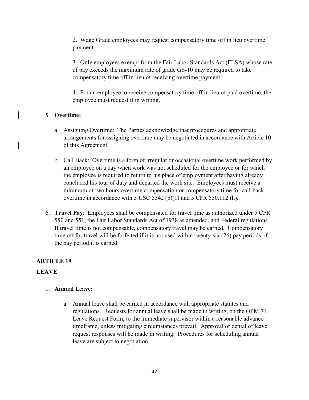2. Wage Grade employees may request compensatory time off in lieu overtime payment.

3. Only employees exempt from the Fair Labor Standards Act (FLSA) whose rate of pay exceeds the maximum rate of grade GS-10 may be required to take compensatory time off in lieu of receiving overtime payment.

4. For an employee to receive compensatory time off in lieu of paid overtime, the employee must request it in writing.

## 5. **Overtime:**

- a. Assigning Overtime: The Parties acknowledge that procedures and appropriate arrangements for assigning overtime may be negotiated in accordance with Article 10 of this Agreement.
- b. Call Back: Overtime is a form of irregular or occasional overtime work performed by an employee on a day when work was not scheduled for the employee or for which the employee is required to return to his place of employment after having already concluded his tour of duty and departed the work site. Employees must receive a minimum of two hours overtime compensation or compensatory time for call-back overtime in accordance with 5 USC 5542 (b)(1) and 5 CFR 550.112 (h).
- 6. **Travel Pay**: Employees shall be compensated for travel time as authorized under 5 CFR 550 and 551, the Fair Labor Standards Act of 1938 as amended, and Federal regulations. If travel time is not compensable, compensatory travel may be earned. Compensatory time off for travel will be forfeited if it is not used within twenty-six (26) pay periods of the pay period it is earned.

## **ARTICLE 19**

## **LEAVE**

## 1. **Annual Leave:**

a. Annual leave shall be earned in accordance with appropriate statutes and regulations. Requests for annual leave shall be made in writing, on the OPM 71 Leave Request Form, to the immediate supervisor within a reasonable advance timeframe, unless mitigating circumstances prevail. Approval or denial of leave request responses will be made in writing. Procedures for scheduling annual leave are subject to negotiation.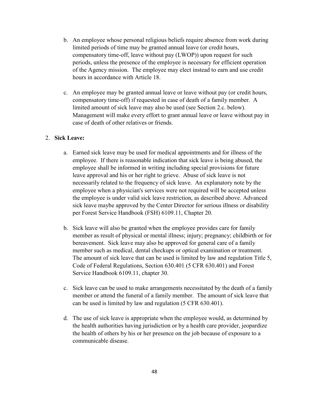- b. An employee whose personal religious beliefs require absence from work during limited periods of time may be granted annual leave (or credit hours, compensatory time-off, leave without pay (LWOP)) upon request for such periods, unless the presence of the employee is necessary for efficient operation of the Agency mission. The employee may elect instead to earn and use credit hours in accordance with Article 18.
- c. An employee may be granted annual leave or leave without pay (or credit hours, compensatory time-off) if requested in case of death of a family member. A limited amount of sick leave may also be used (see Section 2.c. below). Management will make every effort to grant annual leave or leave without pay in case of death of other relatives or friends.

### 2. **Sick Leave:**

- a. Earned sick leave may be used for medical appointments and for illness of the employee. If there is reasonable indication that sick leave is being abused, the employee shall be informed in writing including special provisions for future leave approval and his or her right to grieve. Abuse of sick leave is not necessarily related to the frequency of sick leave. An explanatory note by the employee when a physician's services were not required will be accepted unless the employee is under valid sick leave restriction, as described above. Advanced sick leave maybe approved by the Center Director for serious illness or disability per Forest Service Handbook (FSH) 6109.11, Chapter 20.
- b. Sick leave will also be granted when the employee provides care for family member as result of physical or mental illness; injury; pregnancy; childbirth or for bereavement. Sick leave may also be approved for general care of a family member such as medical, dental checkups or optical examination or treatment. The amount of sick leave that can be used is limited by law and regulation Title 5, Code of Federal Regulations, Section 630.401 (5 CFR 630.401) and Forest Service Handbook 6109.11, chapter 30.
- c. Sick leave can be used to make arrangements necessitated by the death of a family member or attend the funeral of a family member. The amount of sick leave that can be used is limited by law and regulation (5 CFR 630.401).
- d. The use of sick leave is appropriate when the employee would, as determined by the health authorities having jurisdiction or by a health care provider, jeopardize the health of others by his or her presence on the job because of exposure to a communicable disease.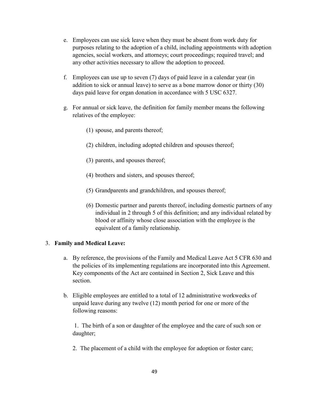- e. Employees can use sick leave when they must be absent from work duty for purposes relating to the adoption of a child, including appointments with adoption agencies, social workers, and attorneys; court proceedings; required travel; and any other activities necessary to allow the adoption to proceed.
- f. Employees can use up to seven (7) days of paid leave in a calendar year (in addition to sick or annual leave) to serve as a bone marrow donor or thirty (30) days paid leave for organ donation in accordance with 5 USC 6327.
- g. For annual or sick leave, the definition for family member means the following relatives of the employee:
	- (1) spouse, and parents thereof;
	- (2) children, including adopted children and spouses thereof;
	- (3) parents, and spouses thereof;
	- (4) brothers and sisters, and spouses thereof;
	- (5) Grandparents and grandchildren, and spouses thereof;
	- (6) Domestic partner and parents thereof, including domestic partners of any individual in 2 through 5 of this definition; and any individual related by blood or affinity whose close association with the employee is the equivalent of a family relationship.

## 3. **Family and Medical Leave:**

- a. By reference, the provisions of the Family and Medical Leave Act 5 CFR 630 and the policies of its implementing regulations are incorporated into this Agreement. Key components of the Act are contained in Section 2, Sick Leave and this section.
- b. Eligible employees are entitled to a total of 12 administrative workweeks of unpaid leave during any twelve (12) month period for one or more of the following reasons:

1. The birth of a son or daughter of the employee and the care of such son or daughter;

2. The placement of a child with the employee for adoption or foster care;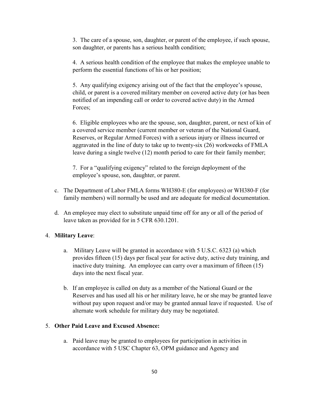3. The care of a spouse, son, daughter, or parent of the employee, if such spouse, son daughter, or parents has a serious health condition;

4. A serious health condition of the employee that makes the employee unable to perform the essential functions of his or her position;

5. Any qualifying exigency arising out of the fact that the employee's spouse, child, or parent is a covered military member on covered active duty (or has been notified of an impending call or order to covered active duty) in the Armed Forces;

6. Eligible employees who are the spouse, son, daughter, parent, or next of kin of a covered service member (current member or veteran of the National Guard, Reserves, or Regular Armed Forces) with a serious injury or illness incurred or aggravated in the line of duty to take up to twenty-six (26) workweeks of FMLA leave during a single twelve (12) month period to care for their family member;

7. For a "qualifying exigency" related to the foreign deployment of the employee's spouse, son, daughter, or parent.

- c. The Department of Labor FMLA forms WH380-E (for employees) or WH380-F (for family members) will normally be used and are adequate for medical documentation.
- d. An employee may elect to substitute unpaid time off for any or all of the period of leave taken as provided for in 5 CFR 630.1201.

## 4. **Military Leave**:

- a. Military Leave will be granted in accordance with 5 U.S.C. 6323 (a) which provides fifteen (15) days per fiscal year for active duty, active duty training, and inactive duty training. An employee can carry over a maximum of fifteen (15) days into the next fiscal year.
- b. If an employee is called on duty as a member of the National Guard or the Reserves and has used all his or her military leave, he or she may be granted leave without pay upon request and/or may be granted annual leave if requested. Use of alternate work schedule for military duty may be negotiated.

## 5. **Other Paid Leave and Excused Absence:**

a. Paid leave may be granted to employees for participation in activities in accordance with 5 USC Chapter 63, OPM guidance and Agency and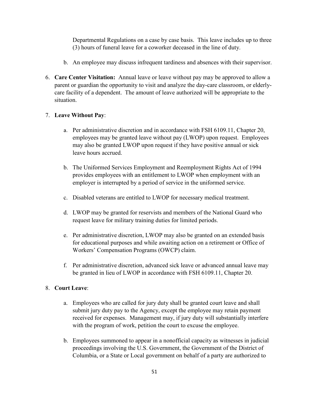Departmental Regulations on a case by case basis. This leave includes up to three (3) hours of funeral leave for a coworker deceased in the line of duty.

- b. An employee may discuss infrequent tardiness and absences with their supervisor.
- 6. **Care Center Visitation:** Annual leave or leave without pay may be approved to allow a parent or guardian the opportunity to visit and analyze the day-care classroom, or elderlycare facility of a dependent. The amount of leave authorized will be appropriate to the situation.

### 7. **Leave Without Pay**:

- a. Per administrative discretion and in accordance with FSH 6109.11, Chapter 20, employees may be granted leave without pay (LWOP) upon request. Employees may also be granted LWOP upon request if they have positive annual or sick leave hours accrued.
- b. The Uniformed Services Employment and Reemployment Rights Act of 1994 provides employees with an entitlement to LWOP when employment with an employer is interrupted by a period of service in the uniformed service.
- c. Disabled veterans are entitled to LWOP for necessary medical treatment.
- d. LWOP may be granted for reservists and members of the National Guard who request leave for military training duties for limited periods.
- e. Per administrative discretion, LWOP may also be granted on an extended basis for educational purposes and while awaiting action on a retirement or Office of Workers' Compensation Programs (OWCP) claim.
- f. Per administrative discretion, advanced sick leave or advanced annual leave may be granted in lieu of LWOP in accordance with FSH 6109.11, Chapter 20.

## 8. **Court Leave**:

- a. Employees who are called for jury duty shall be granted court leave and shall submit jury duty pay to the Agency, except the employee may retain payment received for expenses. Management may, if jury duty will substantially interfere with the program of work, petition the court to excuse the employee.
- b. Employees summoned to appear in a nonofficial capacity as witnesses in judicial proceedings involving the U.S. Government, the Government of the District of Columbia, or a State or Local government on behalf of a party are authorized to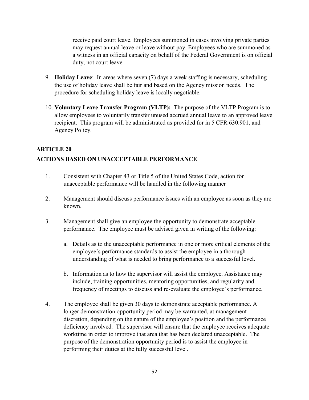receive paid court leave. Employees summoned in cases involving private parties may request annual leave or leave without pay. Employees who are summoned as a witness in an official capacity on behalf of the Federal Government is on official duty, not court leave.

- 9. **Holiday Leave**: In areas where seven (7) days a week staffing is necessary, scheduling the use of holiday leave shall be fair and based on the Agency mission needs. The procedure for scheduling holiday leave is locally negotiable.
- 10. **Voluntary Leave Transfer Program (VLTP):** The purpose of the VLTP Program is to allow employees to voluntarily transfer unused accrued annual leave to an approved leave recipient. This program will be administrated as provided for in 5 CFR 630.901, and Agency Policy.

## **ARTICLE 20**

# **ACTIONS BASED ON UNACCEPTABLE PERFORMANCE**

- 1. Consistent with Chapter 43 or Title 5 of the United States Code, action for unacceptable performance will be handled in the following manner
- 2. Management should discuss performance issues with an employee as soon as they are known.
- 3. Management shall give an employee the opportunity to demonstrate acceptable performance. The employee must be advised given in writing of the following:
	- a. Details as to the unacceptable performance in one or more critical elements of the employee's performance standards to assist the employee in a thorough understanding of what is needed to bring performance to a successful level.
	- b. Information as to how the supervisor will assist the employee. Assistance may include, training opportunities, mentoring opportunities, and regularity and frequency of meetings to discuss and re-evaluate the employee's performance.
- 4. The employee shall be given 30 days to demonstrate acceptable performance. A longer demonstration opportunity period may be warranted, at management discretion, depending on the nature of the employee's position and the performance deficiency involved. The supervisor will ensure that the employee receives adequate worktime in order to improve that area that has been declared unacceptable. The purpose of the demonstration opportunity period is to assist the employee in performing their duties at the fully successful level.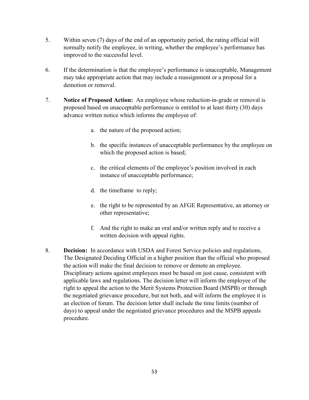- 5. Within seven (7) days of the end of an opportunity period, the rating official will normally notify the employee, in writing, whether the employee's performance has improved to the successful level.
- 6. If the determination is that the employee's performance is unacceptable, Management may take appropriate action that may include a reassignment or a proposal for a demotion or removal.
- 7. **Notice of Proposed Action:** An employee whose reduction-in-grade or removal is proposed based on unacceptable performance is entitled to at least thirty (30) days advance written notice which informs the employee of:
	- a. the nature of the proposed action;
	- b. the specific instances of unacceptable performance by the employee on which the proposed action is based;
	- c. the critical elements of the employee's position involved in each instance of unacceptable performance;
	- d. the timeframe to reply;
	- e. the right to be represented by an AFGE Representative, an attorney or other representative;
	- f. And the right to make an oral and/or written reply and to receive a written decision with appeal rights.
- 8. **Decision:** In accordance with USDA and Forest Service policies and regulations, The Designated Deciding Official in a higher position than the official who proposed the action will make the final decision to remove or demote an employee. Disciplinary actions against employees must be based on just cause, consistent with applicable laws and regulations. The decision letter will inform the employee of the right to appeal the action to the Merit Systems Protection Board (MSPB) or through the negotiated grievance procedure, but not both, and will inform the employee it is an election of forum. The decision letter shall include the time limits (number of days) to appeal under the negotiated grievance procedures and the MSPB appeals procedure.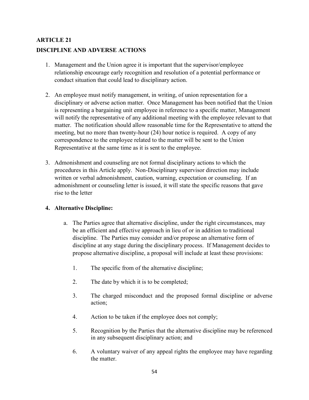# **ARTICLE 21 DISCIPLINE AND ADVERSE ACTIONS**

- 1. Management and the Union agree it is important that the supervisor/employee relationship encourage early recognition and resolution of a potential performance or conduct situation that could lead to disciplinary action.
- 2. An employee must notify management, in writing, of union representation for a disciplinary or adverse action matter. Once Management has been notified that the Union is representing a bargaining unit employee in reference to a specific matter, Management will notify the representative of any additional meeting with the employee relevant to that matter. The notification should allow reasonable time for the Representative to attend the meeting, but no more than twenty-hour (24) hour notice is required. A copy of any correspondence to the employee related to the matter will be sent to the Union Representative at the same time as it is sent to the employee.
- 3. Admonishment and counseling are not formal disciplinary actions to which the procedures in this Article apply. Non-Disciplinary supervisor direction may include written or verbal admonishment, caution, warning, expectation or counseling. If an admonishment or counseling letter is issued, it will state the specific reasons that gave rise to the letter

## **4. Alternative Discipline:**

- a. The Parties agree that alternative discipline, under the right circumstances, may be an efficient and effective approach in lieu of or in addition to traditional discipline. The Parties may consider and/or propose an alternative form of discipline at any stage during the disciplinary process. If Management decides to propose alternative discipline, a proposal will include at least these provisions:
	- 1. The specific from of the alternative discipline;
	- 2. The date by which it is to be completed;
	- 3. The charged misconduct and the proposed formal discipline or adverse action;
	- 4. Action to be taken if the employee does not comply;
	- 5. Recognition by the Parties that the alternative discipline may be referenced in any subsequent disciplinary action; and
	- 6. A voluntary waiver of any appeal rights the employee may have regarding the matter.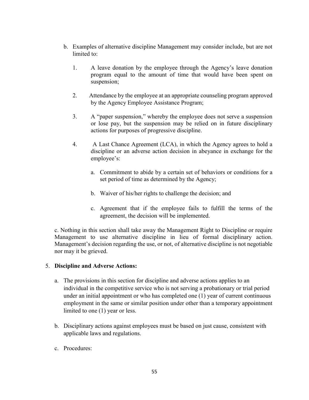- b. Examples of alternative discipline Management may consider include, but are not limited to:
	- 1. A leave donation by the employee through the Agency's leave donation program equal to the amount of time that would have been spent on suspension;
	- 2. Attendance by the employee at an appropriate counseling program approved by the Agency Employee Assistance Program;
	- 3. A "paper suspension," whereby the employee does not serve a suspension or lose pay, but the suspension may be relied on in future disciplinary actions for purposes of progressive discipline.
	- 4. A Last Chance Agreement (LCA), in which the Agency agrees to hold a discipline or an adverse action decision in abeyance in exchange for the employee's:
		- a. Commitment to abide by a certain set of behaviors or conditions for a set period of time as determined by the Agency;
		- b. Waiver of his/her rights to challenge the decision; and
		- c. Agreement that if the employee fails to fulfill the terms of the agreement, the decision will be implemented.

c. Nothing in this section shall take away the Management Right to Discipline or require Management to use alternative discipline in lieu of formal disciplinary action. Management's decision regarding the use, or not, of alternative discipline is not negotiable nor may it be grieved.

#### 5. **Discipline and Adverse Actions:**

- a. The provisions in this section for discipline and adverse actions applies to an individual in the competitive service who is not serving a probationary or trial period under an initial appointment or who has completed one (1) year of current continuous employment in the same or similar position under other than a temporary appointment limited to one (1) year or less.
- b. Disciplinary actions against employees must be based on just cause, consistent with applicable laws and regulations.
- c. Procedures: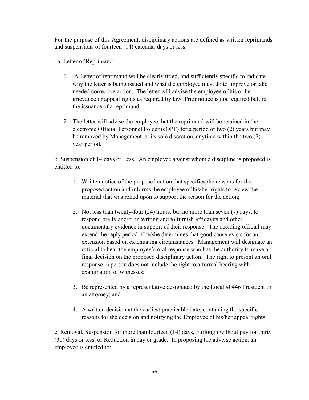For the purpose of this Agreement, disciplinary actions are defined as written reprimands and suspensions of fourteen (14) calendar days or less.

a. Letter of Reprimand:

- 1. A Letter of reprimand will be clearly titled, and sufficiently specific to indicate why the letter is being issued and what the employee must do to improve or take needed corrective action. The letter will advise the employee of his or her grievance or appeal rights as required by law. Prior notice is not required before the issuance of a reprimand.
- 2. The letter will advise the employee that the reprimand will be retained in the electronic Official Personnel Folder (eOPF) for a period of two (2) years but may be removed by Management, at its sole discretion, anytime within the two (2) year period.

b. Suspension of 14 days or Less: An employee against whom a discipline is proposed is entitled to:

- 1. Written notice of the proposed action that specifies the reasons for the proposed action and informs the employee of his/her rights to review the material that was relied upon to support the reason for the action;
- 2. Not less than twenty-four (24) hours, but no more than seven (7) days, to respond orally and/or in writing and to furnish affidavits and other documentary evidence in support of their response. The deciding official may extend the reply period if he/she determines that good cause exists for an extension based on extenuating circumstances. Management will designate an official to hear the employee's oral response who has the authority to make a final decision on the proposed disciplinary action. The right to present an oral response in person does not include the right to a formal hearing with examination of witnesses;
- 3. Be represented by a representative designated by the Local #0446 President or an attorney; and
- 4. A written decision at the earliest practicable date, containing the specific reasons for the decision and notifying the Employee of his/her appeal rights.

c. Removal, Suspension for more than fourteen (14) days, Furlough without pay for thirty (30) days or less, or Reduction in pay or grade: In proposing the adverse action, an employee is entitled to: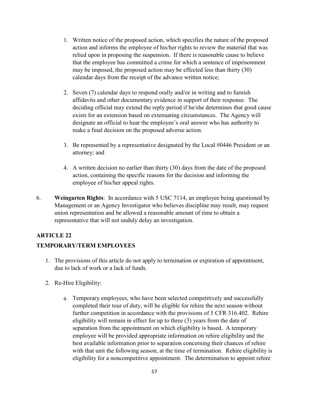- 1. Written notice of the proposed action, which specifies the nature of the proposed action and informs the employee of his/her rights to review the material that was relied upon in proposing the suspension. If there is reasonable cause to believe that the employee has committed a crime for which a sentence of imprisonment may be imposed, the proposed action may be effected less than thirty (30) calendar days from the receipt of the advance written notice;
- 2. Seven (7) calendar days to respond orally and/or in writing and to furnish affidavits and other documentary evidence in support of their response. The deciding official may extend the reply period if he/she determines that good cause exists for an extension based on extenuating circumstances. The Agency will designate an official to hear the employee's oral answer who has authority to make a final decision on the proposed adverse action.
- 3. Be represented by a representative designated by the Local #0446 President or an attorney; and
- 4. A written decision no earlier than thirty (30) days from the date of the proposed action, containing the specific reasons for the decision and informing the employee of his/her appeal rights.
- 6. **Weingarten Rights**: In accordance with 5 USC 7114, an employee being questioned by Management or an Agency Investigator who believes discipline may result, may request union representation and be allowed a reasonable amount of time to obtain a representative that will not unduly delay an investigation.

## **ARTICLE 22**

## **TEMPORARY/TERM EMPLOYEES**

- 1. The provisions of this article do not apply to termination or expiration of appointment, due to lack of work or a lack of funds.
- 2. Re-Hire Eligibility:
	- a. Temporary employees, who have been selected competitively and successfully completed their tour of duty, will be eligible for rehire the next season without further competition in accordance with the provisions of 5 CFR 316.402. Rehire eligibility will remain in effect for up to three (3) years from the date of separation from the appointment on which eligibility is based. A temporary employee will be provided appropriate information on rehire eligibility and the best available information prior to separation concerning their chances of rehire with that unit the following season, at the time of termination. Rehire eligibility is eligibility for a noncompetitive appointment. The determination to appoint rehire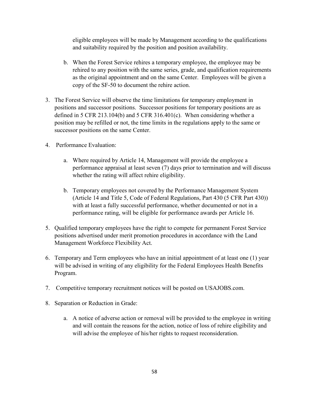eligible employees will be made by Management according to the qualifications and suitability required by the position and position availability.

- b. When the Forest Service rehires a temporary employee, the employee may be rehired to any position with the same series, grade, and qualification requirements as the original appointment and on the same Center. Employees will be given a copy of the SF-50 to document the rehire action.
- 3. The Forest Service will observe the time limitations for temporary employment in positions and successor positions. Successor positions for temporary positions are as defined in 5 CFR 213.104(b) and 5 CFR 316.401(c). When considering whether a position may be refilled or not, the time limits in the regulations apply to the same or successor positions on the same Center.
- 4. Performance Evaluation:
	- a. Where required by Article 14, Management will provide the employee a performance appraisal at least seven (7) days prior to termination and will discuss whether the rating will affect rehire eligibility.
	- b. Temporary employees not covered by the Performance Management System (Article 14 and Title 5, Code of Federal Regulations, Part 430 (5 CFR Part 430)) with at least a fully successful performance, whether documented or not in a performance rating, will be eligible for performance awards per Article 16.
- 5. Qualified temporary employees have the right to compete for permanent Forest Service positions advertised under merit promotion procedures in accordance with the Land Management Workforce Flexibility Act.
- 6. Temporary and Term employees who have an initial appointment of at least one (1) year will be advised in writing of any eligibility for the Federal Employees Health Benefits Program.
- 7. Competitive temporary recruitment notices will be posted on USAJOBS.com.
- 8. Separation or Reduction in Grade:
	- a. A notice of adverse action or removal will be provided to the employee in writing and will contain the reasons for the action, notice of loss of rehire eligibility and will advise the employee of his/her rights to request reconsideration.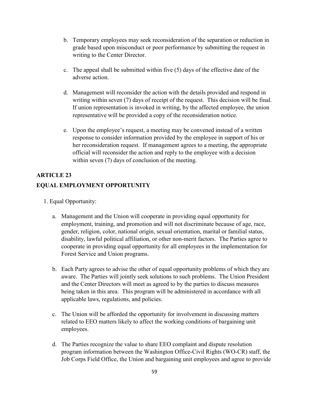- b. Temporary employees may seek reconsideration of the separation or reduction in grade based upon misconduct or poor performance by submitting the request in writing to the Center Director.
- c. The appeal shall be submitted within five (5) days of the effective date of the adverse action.
- d. Management will reconsider the action with the details provided and respond in writing within seven (7) days of receipt of the request. This decision will be final. If union representation is invoked in writing, by the affected employee, the union representative will be provided a copy of the reconsideration notice.
- e. Upon the employee's request, a meeting may be convened instead of a written response to consider information provided by the employee in support of his or her reconsideration request. If management agrees to a meeting, the appropriate official will reconsider the action and reply to the employee with a decision within seven (7) days of conclusion of the meeting.

# **ARTICLE 23**

# **EQUAL EMPLOYMENT OPPORTUNITY**

- 1. Equal Opportunity:
	- a. Management and the Union will cooperate in providing equal opportunity for employment, training, and promotion and will not discriminate because of age, race, gender, religion, color, national origin, sexual orientation, marital or familial status, disability, lawful political affiliation, or other non-merit factors. The Parties agree to cooperate in providing equal opportunity for all employees in the implementation for Forest Service and Union programs.
	- b. Each Party agrees to advise the other of equal opportunity problems of which they are aware. The Parties will jointly seek solutions to such problems. The Union President and the Center Directors will meet as agreed to by the parties to discuss measures being taken in this area. This program will be administered in accordance with all applicable laws, regulations, and policies.
	- c. The Union will be afforded the opportunity for involvement in discussing matters related to EEO matters likely to affect the working conditions of bargaining unit employees.
	- d. The Parties recognize the value to share EEO complaint and dispute resolution program information between the Washington Office-Civil Rights (WO-CR) staff, the Job Corps Field Office, the Union and bargaining unit employees and agree to provide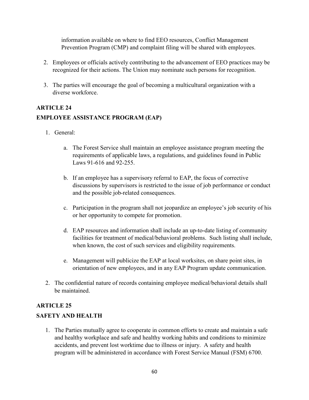information available on where to find EEO resources, Conflict Management Prevention Program (CMP) and complaint filing will be shared with employees.

- 2. Employees or officials actively contributing to the advancement of EEO practices may be recognized for their actions. The Union may nominate such persons for recognition.
- 3. The parties will encourage the goal of becoming a multicultural organization with a diverse workforce.

# **ARTICLE 24 EMPLOYEE ASSISTANCE PROGRAM (EAP)**

- 1. General:
	- a. The Forest Service shall maintain an employee assistance program meeting the requirements of applicable laws, a regulations, and guidelines found in Public Laws 91-616 and 92-255.
	- b. If an employee has a supervisory referral to EAP, the focus of corrective discussions by supervisors is restricted to the issue of job performance or conduct and the possible job-related consequences.
	- c. Participation in the program shall not jeopardize an employee's job security of his or her opportunity to compete for promotion.
	- d. EAP resources and information shall include an up-to-date listing of community facilities for treatment of medical/behavioral problems. Such listing shall include, when known, the cost of such services and eligibility requirements.
	- e. Management will publicize the EAP at local worksites, on share point sites, in orientation of new employees, and in any EAP Program update communication.
- 2. The confidential nature of records containing employee medical/behavioral details shall be maintained.

# **ARTICLE 25**

## **SAFETY AND HEALTH**

1. The Parties mutually agree to cooperate in common efforts to create and maintain a safe and healthy workplace and safe and healthy working habits and conditions to minimize accidents, and prevent lost worktime due to illness or injury. A safety and health program will be administered in accordance with Forest Service Manual (FSM) 6700.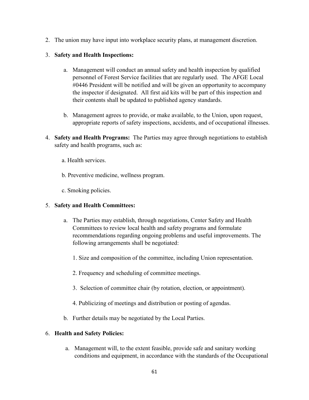2. The union may have input into workplace security plans, at management discretion.

## 3. **Safety and Health Inspections:**

- a. Management will conduct an annual safety and health inspection by qualified personnel of Forest Service facilities that are regularly used. The AFGE Local #0446 President will be notified and will be given an opportunity to accompany the inspector if designated. All first aid kits will be part of this inspection and their contents shall be updated to published agency standards.
- b. Management agrees to provide, or make available, to the Union, upon request, appropriate reports of safety inspections, accidents, and of occupational illnesses.
- 4. **Safety and Health Programs:** The Parties may agree through negotiations to establish safety and health programs, such as:
	- a. Health services.
	- b. Preventive medicine, wellness program.
	- c. Smoking policies.

## 5. **Safety and Health Committees:**

- a. The Parties may establish, through negotiations, Center Safety and Health Committees to review local health and safety programs and formulate recommendations regarding ongoing problems and useful improvements. The following arrangements shall be negotiated:
	- 1. Size and composition of the committee, including Union representation.
	- 2. Frequency and scheduling of committee meetings.
	- 3. Selection of committee chair (by rotation, election, or appointment).
	- 4. Publicizing of meetings and distribution or posting of agendas.
- b. Further details may be negotiated by the Local Parties.

### 6. **Health and Safety Policies:**

a. Management will, to the extent feasible, provide safe and sanitary working conditions and equipment, in accordance with the standards of the Occupational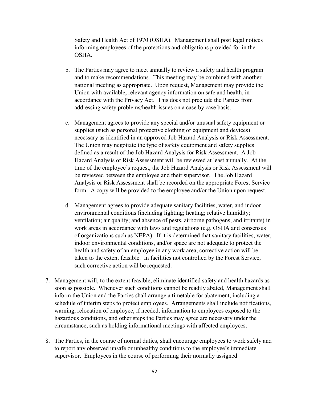Safety and Health Act of 1970 (OSHA). Management shall post legal notices informing employees of the protections and obligations provided for in the OSHA.

- b. The Parties may agree to meet annually to review a safety and health program and to make recommendations. This meeting may be combined with another national meeting as appropriate. Upon request, Management may provide the Union with available, relevant agency information on safe and health, in accordance with the Privacy Act. This does not preclude the Parties from addressing safety problems/health issues on a case by case basis.
- c. Management agrees to provide any special and/or unusual safety equipment or supplies (such as personal protective clothing or equipment and devices) necessary as identified in an approved Job Hazard Analysis or Risk Assessment. The Union may negotiate the type of safety equipment and safety supplies defined as a result of the Job Hazard Analysis for Risk Assessment. A Job Hazard Analysis or Risk Assessment will be reviewed at least annually. At the time of the employee's request, the Job Hazard Analysis or Risk Assessment will be reviewed between the employee and their supervisor. The Job Hazard Analysis or Risk Assessment shall be recorded on the appropriate Forest Service form. A copy will be provided to the employee and/or the Union upon request.
- d. Management agrees to provide adequate sanitary facilities, water, and indoor environmental conditions (including lighting; heating; relative humidity; ventilation; air quality; and absence of pests, airborne pathogens, and irritants) in work areas in accordance with laws and regulations (e.g. OSHA and consensus of organizations such as NEPA). If it is determined that sanitary facilities, water, indoor environmental conditions, and/or space are not adequate to protect the health and safety of an employee in any work area, corrective action will be taken to the extent feasible. In facilities not controlled by the Forest Service, such corrective action will be requested.
- 7. Management will, to the extent feasible, eliminate identified safety and health hazards as soon as possible. Whenever such conditions cannot be readily abated, Management shall inform the Union and the Parties shall arrange a timetable for abatement, including a schedule of interim steps to protect employees. Arrangements shall include notifications, warning, relocation of employee, if needed, information to employees exposed to the hazardous conditions, and other steps the Parties may agree are necessary under the circumstance, such as holding informational meetings with affected employees.
- 8. The Parties, in the course of normal duties, shall encourage employees to work safely and to report any observed unsafe or unhealthy conditions to the employee's immediate supervisor. Employees in the course of performing their normally assigned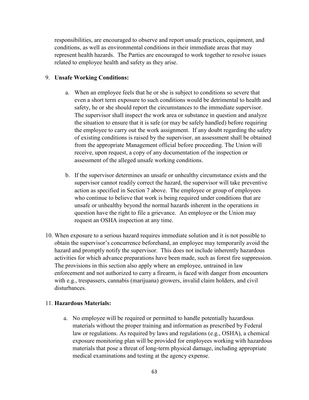responsibilities, are encouraged to observe and report unsafe practices, equipment, and conditions, as well as environmental conditions in their immediate areas that may represent health hazards. The Parties are encouraged to work together to resolve issues related to employee health and safety as they arise.

#### 9. **Unsafe Working Conditions:**

- a. When an employee feels that he or she is subject to conditions so severe that even a short term exposure to such conditions would be detrimental to health and safety, he or she should report the circumstances to the immediate supervisor. The supervisor shall inspect the work area or substance in question and analyze the situation to ensure that it is safe (or may be safely handled) before requiring the employee to carry out the work assignment. If any doubt regarding the safety of existing conditions is raised by the supervisor, an assessment shall be obtained from the appropriate Management official before proceeding. The Union will receive, upon request, a copy of any documentation of the inspection or assessment of the alleged unsafe working conditions.
- b. If the supervisor determines an unsafe or unhealthy circumstance exists and the supervisor cannot readily correct the hazard, the supervisor will take preventive action as specified in Section 7 above. The employee or group of employees who continue to believe that work is being required under conditions that are unsafe or unhealthy beyond the normal hazards inherent in the operations in question have the right to file a grievance. An employee or the Union may request an OSHA inspection at any time.
- 10. When exposure to a serious hazard requires immediate solution and it is not possible to obtain the supervisor's concurrence beforehand, an employee may temporarily avoid the hazard and promptly notify the supervisor. This does not include inherently hazardous activities for which advance preparations have been made, such as forest fire suppression. The provisions in this section also apply where an employee, untrained in law enforcement and not authorized to carry a firearm, is faced with danger from encounters with e.g., trespassers, cannabis (marijuana) growers, invalid claim holders, and civil disturbances.

#### 11. **Hazardous Materials:**

a. No employee will be required or permitted to handle potentially hazardous materials without the proper training and information as prescribed by Federal law or regulations. As required by laws and regulations (e.g., OSHA), a chemical exposure monitoring plan will be provided for employees working with hazardous materials that pose a threat of long-term physical damage, including appropriate medical examinations and testing at the agency expense.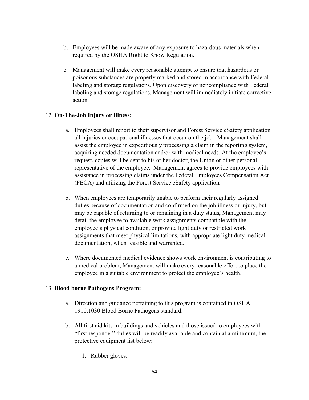- b. Employees will be made aware of any exposure to hazardous materials when required by the OSHA Right to Know Regulation.
- c. Management will make every reasonable attempt to ensure that hazardous or poisonous substances are properly marked and stored in accordance with Federal labeling and storage regulations. Upon discovery of noncompliance with Federal labeling and storage regulations, Management will immediately initiate corrective action.

## 12. **On-The-Job Injury or Illness:**

- a. Employees shall report to their supervisor and Forest Service eSafety application all injuries or occupational illnesses that occur on the job. Management shall assist the employee in expeditiously processing a claim in the reporting system, acquiring needed documentation and/or with medical needs. At the employee's request, copies will be sent to his or her doctor, the Union or other personal representative of the employee. Management agrees to provide employees with assistance in processing claims under the Federal Employees Compensation Act (FECA) and utilizing the Forest Service eSafety application.
- b. When employees are temporarily unable to perform their regularly assigned duties because of documentation and confirmed on the job illness or injury, but may be capable of returning to or remaining in a duty status, Management may detail the employee to available work assignments compatible with the employee's physical condition, or provide light duty or restricted work assignments that meet physical limitations, with appropriate light duty medical documentation, when feasible and warranted.
- c. Where documented medical evidence shows work environment is contributing to a medical problem, Management will make every reasonable effort to place the employee in a suitable environment to protect the employee's health.

#### 13. **Blood borne Pathogens Program:**

- a. Direction and guidance pertaining to this program is contained in OSHA 1910.1030 Blood Borne Pathogens standard.
- b. All first aid kits in buildings and vehicles and those issued to employees with "first responder" duties will be readily available and contain at a minimum, the protective equipment list below:
	- 1. Rubber gloves.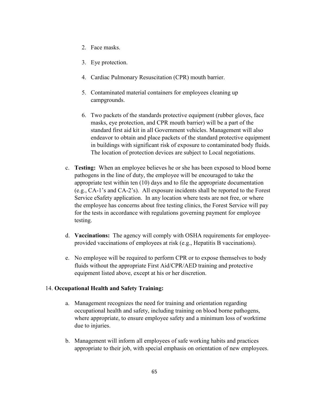- 2. Face masks.
- 3. Eye protection.
- 4. Cardiac Pulmonary Resuscitation (CPR) mouth barrier.
- 5. Contaminated material containers for employees cleaning up campgrounds.
- 6. Two packets of the standards protective equipment (rubber gloves, face masks, eye protection, and CPR mouth barrier) will be a part of the standard first aid kit in all Government vehicles. Management will also endeavor to obtain and place packets of the standard protective equipment in buildings with significant risk of exposure to contaminated body fluids. The location of protection devices are subject to Local negotiations.
- c. **Testing:** When an employee believes he or she has been exposed to blood borne pathogens in the line of duty, the employee will be encouraged to take the appropriate test within ten (10) days and to file the appropriate documentation (e.g., CA-1's and CA-2's). All exposure incidents shall be reported to the Forest Service eSafety application. In any location where tests are not free, or where the employee has concerns about free testing clinics, the Forest Service will pay for the tests in accordance with regulations governing payment for employee testing.
- d. **Vaccinations:** The agency will comply with OSHA requirements for employeeprovided vaccinations of employees at risk (e.g., Hepatitis B vaccinations).
- e. No employee will be required to perform CPR or to expose themselves to body fluids without the appropriate First Aid/CPR/AED training and protective equipment listed above, except at his or her discretion.

## 14. **Occupational Health and Safety Training:**

- a. Management recognizes the need for training and orientation regarding occupational health and safety, including training on blood borne pathogens, where appropriate, to ensure employee safety and a minimum loss of worktime due to injuries.
- b. Management will inform all employees of safe working habits and practices appropriate to their job, with special emphasis on orientation of new employees.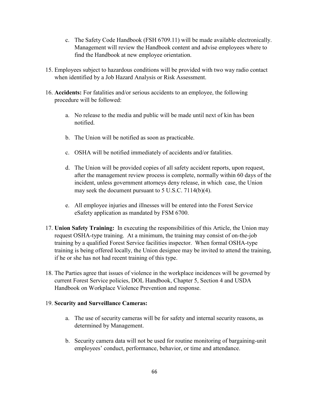- c. The Safety Code Handbook (FSH 6709.11) will be made available electronically. Management will review the Handbook content and advise employees where to find the Handbook at new employee orientation.
- 15. Employees subject to hazardous conditions will be provided with two way radio contact when identified by a Job Hazard Analysis or Risk Assessment.
- 16. **Accidents:** For fatalities and/or serious accidents to an employee, the following procedure will be followed:
	- a. No release to the media and public will be made until next of kin has been notified.
	- b. The Union will be notified as soon as practicable.
	- c. OSHA will be notified immediately of accidents and/or fatalities.
	- d. The Union will be provided copies of all safety accident reports, upon request, after the management review process is complete, normally within 60 days of the incident, unless government attorneys deny release, in which case, the Union may seek the document pursuant to 5 U.S.C. 7114(b)(4).
	- e. All employee injuries and illnesses will be entered into the Forest Service eSafety application as mandated by FSM 6700.
- 17. **Union Safety Training:** In executing the responsibilities of this Article, the Union may request OSHA-type training. At a minimum, the training may consist of on-the-job training by a qualified Forest Service facilities inspector. When formal OSHA-type training is being offered locally, the Union designee may be invited to attend the training, if he or she has not had recent training of this type.
- 18. The Parties agree that issues of violence in the workplace incidences will be governed by current Forest Service policies, DOL Handbook, Chapter 5, Section 4 and USDA Handbook on Workplace Violence Prevention and response.

## 19. **Security and Surveillance Cameras:**

- a. The use of security cameras will be for safety and internal security reasons, as determined by Management.
- b. Security camera data will not be used for routine monitoring of bargaining-unit employees' conduct, performance, behavior, or time and attendance.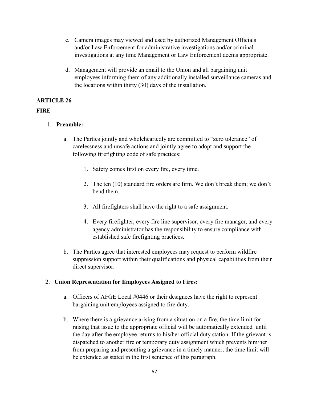- c. Camera images may viewed and used by authorized Management Officials and/or Law Enforcement for administrative investigations and/or criminal investigations at any time Management or Law Enforcement deems appropriate.
- d. Management will provide an email to the Union and all bargaining unit employees informing them of any additionally installed surveillance cameras and the locations within thirty (30) days of the installation.

# **ARTICLE 26**

## **FIRE**

- 1. **Preamble:** 
	- a. The Parties jointly and wholeheartedly are committed to "zero tolerance" of carelessness and unsafe actions and jointly agree to adopt and support the following firefighting code of safe practices:
		- 1. Safety comes first on every fire, every time.
		- 2. The ten (10) standard fire orders are firm. We don't break them; we don't bend them.
		- 3. All firefighters shall have the right to a safe assignment.
		- 4. Every firefighter, every fire line supervisor, every fire manager, and every agency administrator has the responsibility to ensure compliance with established safe firefighting practices.
	- b. The Parties agree that interested employees may request to perform wildfire suppression support within their qualifications and physical capabilities from their direct supervisor.

# 2. **Union Representation for Employees Assigned to Fires:**

- a. Officers of AFGE Local #0446 or their designees have the right to represent bargaining unit employees assigned to fire duty.
- b. Where there is a grievance arising from a situation on a fire, the time limit for raising that issue to the appropriate official will be automatically extended until the day after the employee returns to his/her official duty station. If the grievant is dispatched to another fire or temporary duty assignment which prevents him/her from preparing and presenting a grievance in a timely manner, the time limit will be extended as stated in the first sentence of this paragraph.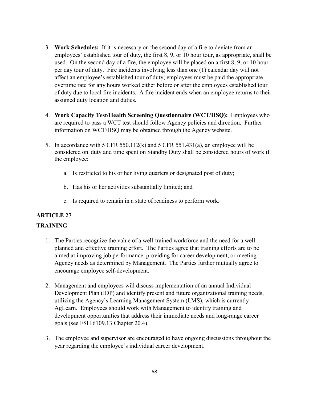- 3. **Work Schedules:** If it is necessary on the second day of a fire to deviate from an employees' established tour of duty, the first 8, 9, or 10 hour tour, as appropriate, shall be used. On the second day of a fire, the employee will be placed on a first 8, 9, or 10 hour per day tour of duty. Fire incidents involving less than one (1) calendar day will not affect an employee's established tour of duty; employees must be paid the appropriate overtime rate for any hours worked either before or after the employees established tour of duty due to local fire incidents. A fire incident ends when an employee returns to their assigned duty location and duties.
- 4. **Work Capacity Test/Health Screening Questionnaire (WCT/HSQ):** Employees who are required to pass a WCT test should follow Agency policies and direction. Further information on WCT/HSQ may be obtained through the Agency website.
- 5. In accordance with 5 CFR 550.112(k) and 5 CFR 551.431(a), an employee will be considered on duty and time spent on Standby Duty shall be considered hours of work if the employee:
	- a. Is restricted to his or her living quarters or designated post of duty;
	- b. Has his or her activities substantially limited; and
	- c. Is required to remain in a state of readiness to perform work.

## **ARTICLE 27**

## **TRAINING**

- 1. The Parties recognize the value of a well-trained workforce and the need for a wellplanned and effective training effort. The Parties agree that training efforts are to be aimed at improving job performance, providing for career development, or meeting Agency needs as determined by Management. The Parties further mutually agree to encourage employee self-development.
- 2. Management and employees will discuss implementation of an annual Individual Development Plan (IDP) and identify present and future organizational training needs, utilizing the Agency's Learning Management System (LMS), which is currently AgLearn. Employees should work with Management to identify training and development opportunities that address their immediate needs and long-range career goals (see FSH 6109.13 Chapter 20.4).
- 3. The employee and supervisor are encouraged to have ongoing discussions throughout the year regarding the employee's individual career development.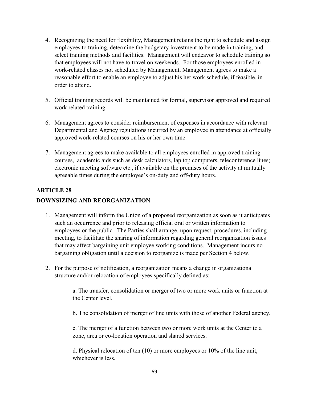- 4. Recognizing the need for flexibility, Management retains the right to schedule and assign employees to training, determine the budgetary investment to be made in training, and select training methods and facilities. Management will endeavor to schedule training so that employees will not have to travel on weekends. For those employees enrolled in work-related classes not scheduled by Management, Management agrees to make a reasonable effort to enable an employee to adjust his her work schedule, if feasible, in order to attend.
- 5. Official training records will be maintained for formal, supervisor approved and required work related training.
- 6. Management agrees to consider reimbursement of expenses in accordance with relevant Departmental and Agency regulations incurred by an employee in attendance at officially approved work-related courses on his or her own time.
- 7. Management agrees to make available to all employees enrolled in approved training courses, academic aids such as desk calculators, lap top computers, teleconference lines; electronic meeting software etc., if available on the premises of the activity at mutually agreeable times during the employee's on-duty and off-duty hours.

# **ARTICLE 28 DOWNSIZING AND REORGANIZATION**

- 1. Management will inform the Union of a proposed reorganization as soon as it anticipates such an occurrence and prior to releasing official oral or written information to employees or the public. The Parties shall arrange, upon request, procedures, including meeting, to facilitate the sharing of information regarding general reorganization issues that may affect bargaining unit employee working conditions. Management incurs no bargaining obligation until a decision to reorganize is made per Section 4 below.
- 2. For the purpose of notification, a reorganization means a change in organizational structure and/or relocation of employees specifically defined as:

a. The transfer, consolidation or merger of two or more work units or function at the Center level.

b. The consolidation of merger of line units with those of another Federal agency.

c. The merger of a function between two or more work units at the Center to a zone, area or co-location operation and shared services.

d. Physical relocation of ten (10) or more employees or 10% of the line unit, whichever is less.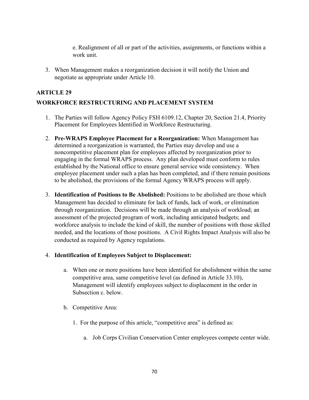e. Realignment of all or part of the activities, assignments, or functions within a work unit.

3. When Management makes a reorganization decision it will notify the Union and negotiate as appropriate under Article 10.

### **ARTICLE 29**

## **WORKFORCE RESTRUCTURING AND PLACEMENT SYSTEM**

- 1. The Parties will follow Agency Policy FSH 6109.12, Chapter 20, Section 21.4, Priority Placement for Employees Identified in Workforce Restructuring.
- 2. **Pre-WRAPS Employee Placement for a Reorganization:** When Management has determined a reorganization is warranted, the Parties may develop and use a noncompetitive placement plan for employees affected by reorganization prior to engaging in the formal WRAPS process. Any plan developed must conform to rules established by the National office to ensure general service wide consistency. When employee placement under such a plan has been completed, and if there remain positions to be abolished, the provisions of the formal Agency WRAPS process will apply.
- 3. **Identification of Positions to Be Abolished:** Positions to be abolished are those which Management has decided to eliminate for lack of funds, lack of work, or elimination through reorganization. Decisions will be made through an analysis of workload; an assessment of the projected program of work, including anticipated budgets; and workforce analysis to include the kind of skill, the number of positions with those skilled needed, and the locations of those positions. A Civil Rights Impact Analysis will also be conducted as required by Agency regulations.

#### 4. **Identification of Employees Subject to Displacement:**

- a. When one or more positions have been identified for abolishment within the same competitive area, same competitive level (as defined in Article 33.10), Management will identify employees subject to displacement in the order in Subsection c. below.
- b. Competitive Area:
	- 1. For the purpose of this article, "competitive area" is defined as:
		- a. Job Corps Civilian Conservation Center employees compete center wide.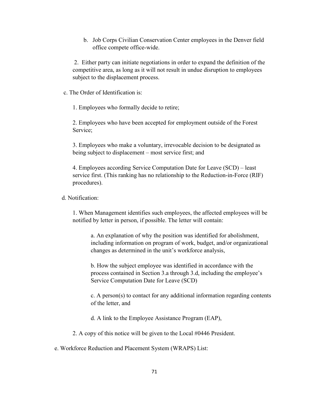b. Job Corps Civilian Conservation Center employees in the Denver field office compete office-wide.

2. Either party can initiate negotiations in order to expand the definition of the competitive area, as long as it will not result in undue disruption to employees subject to the displacement process.

c. The Order of Identification is:

1. Employees who formally decide to retire;

2. Employees who have been accepted for employment outside of the Forest Service;

3. Employees who make a voluntary, irrevocable decision to be designated as being subject to displacement – most service first; and

4. Employees according Service Computation Date for Leave (SCD) – least service first. (This ranking has no relationship to the Reduction-in-Force (RIF) procedures).

d. Notification:

1. When Management identifies such employees, the affected employees will be notified by letter in person, if possible. The letter will contain:

a. An explanation of why the position was identified for abolishment, including information on program of work, budget, and/or organizational changes as determined in the unit's workforce analysis,

b. How the subject employee was identified in accordance with the process contained in Section 3.a through 3.d, including the employee's Service Computation Date for Leave (SCD)

c. A person(s) to contact for any additional information regarding contents of the letter, and

d. A link to the Employee Assistance Program (EAP),

2. A copy of this notice will be given to the Local #0446 President.

e. Workforce Reduction and Placement System (WRAPS) List: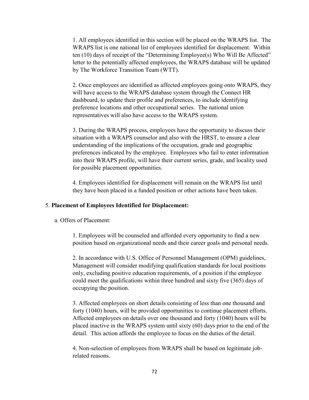1. All employees identified in this section will be placed on the WRAPS list. The WRAPS list is one national list of employees identified for displacement. Within ten (10) days of receipt of the "Determining Employee(s) Who Will Be Affected" letter to the potentially affected employees, the WRAPS database will be updated by The Workforce Transition Team (WTT).

2. Once employees are identified as affected employees going onto WRAPS, they will have access to the WRAPS database system through the Connect HR dashboard, to update their profile and preferences, to include identifying preference locations and other occupational series. The national union representatives will also have access to the WRAPS system.

3. During the WRAPS process, employees have the opportunity to discuss their situation with a WRAPS counselor and also with the HRST, to ensure a clear understanding of the implications of the occupation, grade and geographic preferences indicated by the employee. Employees who fail to enter information into their WRAPS profile, will have their current series, grade, and locality used for possible placement opportunities.

4. Employees identified for displacement will remain on the WRAPS list until they have been placed in a funded position or other actions have been taken.

#### 5. **Placement of Employees Identified for Displacement:**

a. Offers of Placement:

1. Employees will be counseled and afforded every opportunity to find a new position based on organizational needs and their career goals and personal needs.

2. In accordance with U.S. Office of Personnel Management (OPM) guidelines, Management will consider modifying qualification standards for local positions only, excluding positive education requirements, of a position if the employee could meet the qualifications within three hundred and sixty five (365) days of occupying the position.

3. Affected employees on short details consisting of less than one thousand and forty (1040) hours, will be provided opportunities to continue placement efforts. Affected employees on details over one thousand and forty (1040) hours will be placed inactive in the WRAPS system until sixty (60) days prior to the end of the detail. This action affords the employee to focus on the duties of the detail.

4. Non-selection of employees from WRAPS shall be based on legitimate jobrelated reasons.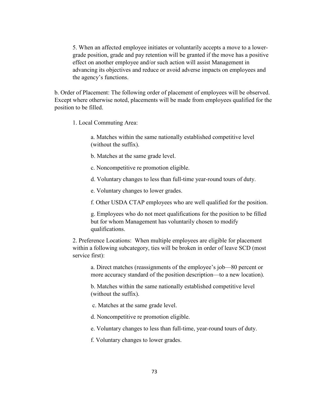5. When an affected employee initiates or voluntarily accepts a move to a lowergrade position, grade and pay retention will be granted if the move has a positive effect on another employee and/or such action will assist Management in advancing its objectives and reduce or avoid adverse impacts on employees and the agency's functions.

b. Order of Placement: The following order of placement of employees will be observed. Except where otherwise noted, placements will be made from employees qualified for the position to be filled.

1. Local Commuting Area:

a. Matches within the same nationally established competitive level (without the suffix).

b. Matches at the same grade level.

c. Noncompetitive re promotion eligible.

d. Voluntary changes to less than full-time year-round tours of duty.

e. Voluntary changes to lower grades.

f. Other USDA CTAP employees who are well qualified for the position.

g. Employees who do not meet qualifications for the position to be filled but for whom Management has voluntarily chosen to modify qualifications.

2. Preference Locations: When multiple employees are eligible for placement within a following subcategory, ties will be broken in order of leave SCD (most service first):

a. Direct matches (reassignments of the employee's job—80 percent or more accuracy standard of the position description—to a new location).

b. Matches within the same nationally established competitive level (without the suffix).

c. Matches at the same grade level.

d. Noncompetitive re promotion eligible.

e. Voluntary changes to less than full-time, year-round tours of duty.

f. Voluntary changes to lower grades.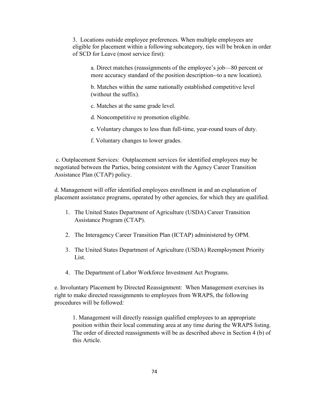3. Locations outside employee preferences. When multiple employees are eligible for placement within a following subcategory, ties will be broken in order of SCD for Leave (most service first):

a. Direct matches (reassignments of the employee's job—80 percent or more accuracy standard of the position description--to a new location).

b. Matches within the same nationally established competitive level (without the suffix).

c. Matches at the same grade level.

d. Noncompetitive re promotion eligible.

- e. Voluntary changes to less than full-time, year-round tours of duty.
- f. Voluntary changes to lower grades.

c. Outplacement Services: Outplacement services for identified employees may be negotiated between the Parties, being consistent with the Agency Career Transition Assistance Plan (CTAP) policy.

d. Management will offer identified employees enrollment in and an explanation of placement assistance programs, operated by other agencies, for which they are qualified.

- 1. The United States Department of Agriculture (USDA) Career Transition Assistance Program (CTAP).
- 2. The Interagency Career Transition Plan (ICTAP) administered by OPM.
- 3. The United States Department of Agriculture (USDA) Reemployment Priority List.
- 4. The Department of Labor Workforce Investment Act Programs.

e. Involuntary Placement by Directed Reassignment: When Management exercises its right to make directed reassignments to employees from WRAPS, the following procedures will be followed:

1. Management will directly reassign qualified employees to an appropriate position within their local commuting area at any time during the WRAPS listing. The order of directed reassignments will be as described above in Section 4 (b) of this Article.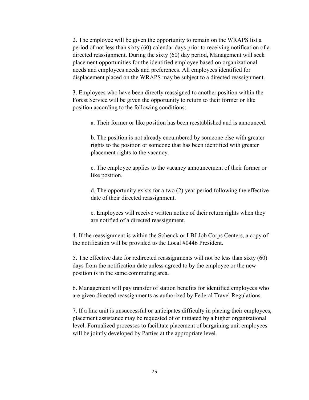2. The employee will be given the opportunity to remain on the WRAPS list a period of not less than sixty (60) calendar days prior to receiving notification of a directed reassignment. During the sixty (60) day period, Management will seek placement opportunities for the identified employee based on organizational needs and employees needs and preferences. All employees identified for displacement placed on the WRAPS may be subject to a directed reassignment.

3. Employees who have been directly reassigned to another position within the Forest Service will be given the opportunity to return to their former or like position according to the following conditions:

a. Their former or like position has been reestablished and is announced.

b. The position is not already encumbered by someone else with greater rights to the position or someone that has been identified with greater placement rights to the vacancy.

c. The employee applies to the vacancy announcement of their former or like position.

d. The opportunity exists for a two (2) year period following the effective date of their directed reassignment.

e. Employees will receive written notice of their return rights when they are notified of a directed reassignment.

4. If the reassignment is within the Schenck or LBJ Job Corps Centers, a copy of the notification will be provided to the Local #0446 President.

5. The effective date for redirected reassignments will not be less than sixty (60) days from the notification date unless agreed to by the employee or the new position is in the same commuting area.

6. Management will pay transfer of station benefits for identified employees who are given directed reassignments as authorized by Federal Travel Regulations.

7. If a line unit is unsuccessful or anticipates difficulty in placing their employees, placement assistance may be requested of or initiated by a higher organizational level. Formalized processes to facilitate placement of bargaining unit employees will be jointly developed by Parties at the appropriate level.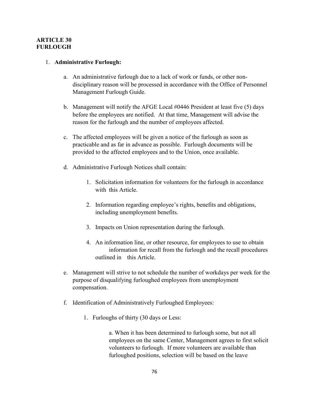#### **ARTICLE 30 FURLOUGH**

#### 1. **Administrative Furlough:**

- a. An administrative furlough due to a lack of work or funds, or other nondisciplinary reason will be processed in accordance with the Office of Personnel Management Furlough Guide.
- b. Management will notify the AFGE Local #0446 President at least five (5) days before the employees are notified. At that time, Management will advise the reason for the furlough and the number of employees affected.
- c. The affected employees will be given a notice of the furlough as soon as practicable and as far in advance as possible. Furlough documents will be provided to the affected employees and to the Union, once available.
- d. Administrative Furlough Notices shall contain:
	- 1. Solicitation information for volunteers for the furlough in accordance with this Article.
	- 2. Information regarding employee's rights, benefits and obligations, including unemployment benefits.
	- 3. Impacts on Union representation during the furlough.
	- 4. An information line, or other resource, for employees to use to obtain information for recall from the furlough and the recall procedures outlined in this Article.
- e. Management will strive to not schedule the number of workdays per week for the purpose of disqualifying furloughed employees from unemployment compensation.
- f. Identification of Administratively Furloughed Employees:
	- 1. Furloughs of thirty (30 days or Less:

a. When it has been determined to furlough some, but not all employees on the same Center, Management agrees to first solicit volunteers to furlough. If more volunteers are available than furloughed positions, selection will be based on the leave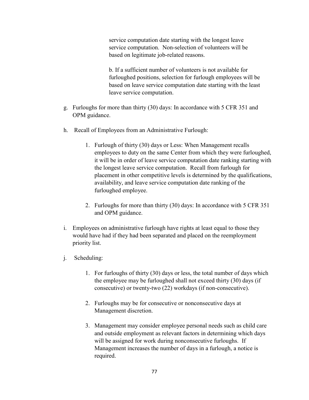service computation date starting with the longest leave service computation. Non-selection of volunteers will be based on legitimate job-related reasons.

b. If a sufficient number of volunteers is not available for furloughed positions, selection for furlough employees will be based on leave service computation date starting with the least leave service computation.

- g. Furloughs for more than thirty (30) days: In accordance with 5 CFR 351 and OPM guidance.
- h. Recall of Employees from an Administrative Furlough:
	- 1. Furlough of thirty (30) days or Less: When Management recalls employees to duty on the same Center from which they were furloughed, it will be in order of leave service computation date ranking starting with the longest leave service computation. Recall from furlough for placement in other competitive levels is determined by the qualifications, availability, and leave service computation date ranking of the furloughed employee.
	- 2. Furloughs for more than thirty (30) days: In accordance with 5 CFR 351 and OPM guidance.
- i. Employees on administrative furlough have rights at least equal to those they would have had if they had been separated and placed on the reemployment priority list.
- j. Scheduling:
	- 1. For furloughs of thirty (30) days or less, the total number of days which the employee may be furloughed shall not exceed thirty (30) days (if consecutive) or twenty-two (22) workdays (if non-consecutive).
	- 2. Furloughs may be for consecutive or nonconsecutive days at Management discretion.
	- 3. Management may consider employee personal needs such as child care and outside employment as relevant factors in determining which days will be assigned for work during nonconsecutive furloughs. If Management increases the number of days in a furlough, a notice is required.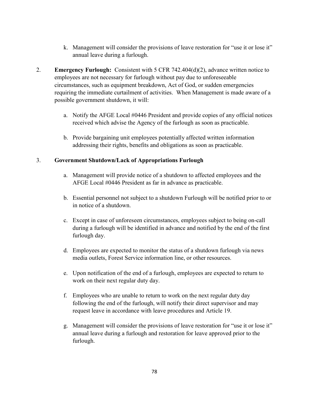- k. Management will consider the provisions of leave restoration for "use it or lose it" annual leave during a furlough.
- 2. **Emergency Furlough:** Consistent with 5 CFR 742.404(d)(2), advance written notice to employees are not necessary for furlough without pay due to unforeseeable circumstances, such as equipment breakdown, Act of God, or sudden emergencies requiring the immediate curtailment of activities. When Management is made aware of a possible government shutdown, it will:
	- a. Notify the AFGE Local #0446 President and provide copies of any official notices received which advise the Agency of the furlough as soon as practicable.
	- b. Provide bargaining unit employees potentially affected written information addressing their rights, benefits and obligations as soon as practicable.

#### 3. **Government Shutdown/Lack of Appropriations Furlough**

- a. Management will provide notice of a shutdown to affected employees and the AFGE Local #0446 President as far in advance as practicable.
- b. Essential personnel not subject to a shutdown Furlough will be notified prior to or in notice of a shutdown.
- c. Except in case of unforeseen circumstances, employees subject to being on-call during a furlough will be identified in advance and notified by the end of the first furlough day.
- d. Employees are expected to monitor the status of a shutdown furlough via news media outlets, Forest Service information line, or other resources.
- e. Upon notification of the end of a furlough, employees are expected to return to work on their next regular duty day.
- f. Employees who are unable to return to work on the next regular duty day following the end of the furlough, will notify their direct supervisor and may request leave in accordance with leave procedures and Article 19.
- g. Management will consider the provisions of leave restoration for "use it or lose it" annual leave during a furlough and restoration for leave approved prior to the furlough.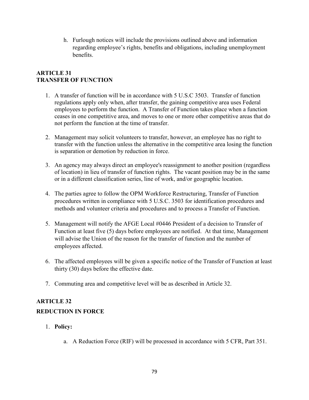h. Furlough notices will include the provisions outlined above and information regarding employee's rights, benefits and obligations, including unemployment benefits.

## **ARTICLE 31 TRANSFER OF FUNCTION**

- 1. A transfer of function will be in accordance with 5 U.S.C 3503. Transfer of function regulations apply only when, after transfer, the gaining competitive area uses Federal employees to perform the function. A Transfer of Function takes place when a function ceases in one competitive area, and moves to one or more other competitive areas that do not perform the function at the time of transfer.
- 2. Management may solicit volunteers to transfer, however, an employee has no right to transfer with the function unless the alternative in the competitive area losing the function is separation or demotion by reduction in force.
- 3. An agency may always direct an employee's reassignment to another position (regardless of location) in lieu of transfer of function rights. The vacant position may be in the same or in a different classification series, line of work, and/or geographic location.
- 4. The parties agree to follow the OPM Workforce Restructuring, Transfer of Function procedures written in compliance with 5 U.S.C. 3503 for identification procedures and methods and volunteer criteria and procedures and to process a Transfer of Function.
- 5. Management will notify the AFGE Local #0446 President of a decision to Transfer of Function at least five (5) days before employees are notified. At that time, Management will advise the Union of the reason for the transfer of function and the number of employees affected.
- 6. The affected employees will be given a specific notice of the Transfer of Function at least thirty (30) days before the effective date.
- 7. Commuting area and competitive level will be as described in Article 32.

# **ARTICLE 32**

# **REDUCTION IN FORCE**

- 1. **Policy:**
	- a. A Reduction Force (RIF) will be processed in accordance with 5 CFR, Part 351.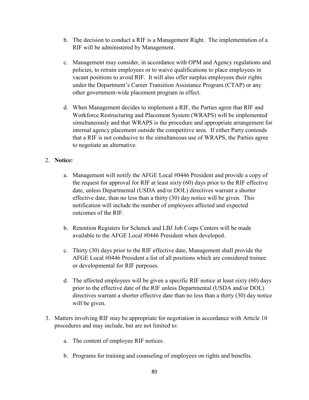- b. The decision to conduct a RIF is a Management Right. The implementation of a RIF will be administered by Management.
- c. Management may consider, in accordance with OPM and Agency regulations and policies, to retrain employees or to waive qualifications to place employees in vacant positions to avoid RIF. It will also offer surplus employees their rights under the Department's Career Transition Assistance Program (CTAP) or any other government-wide placement program in effect.
- d. When Management decides to implement a RIF, the Parties agree that RIF and Workforce Restructuring and Placement System (WRAPS) will be implemented simultaneously and that WRAPS is the procedure and appropriate arrangement for internal agency placement outside the competitive area. If either Party contends that a RIF is not conducive to the simultaneous use of WRAPS, the Parties agree to negotiate an alternative.

## 2. **Notice:**

- a. Management will notify the AFGE Local #0446 President and provide a copy of the request for approval for RIF at least sixty (60) days prior to the RIF effective date, unless Departmental (USDA and/or DOL) directives warrant a shorter effective date, than no less than a thirty (30) day notice will be given. This notification will include the number of employees affected and expected outcomes of the RIF.
- b. Retention Registers for Schenck and LBJ Job Corps Centers will be made available to the AFGE Local #0446 President when developed.
- c. Thirty (30) days prior to the RIF effective date, Management shall provide the AFGE Local #0446 President a list of all positions which are considered trainee or developmental for RIF purposes.
- d. The affected employees will be given a specific RIF notice at least sixty (60) days prior to the effective date of the RIF unless Departmental (USDA and/or DOL) directives warrant a shorter effective date than no less than a thirty (30) day notice will be given.
- 3. Matters involving RIF may be appropriate for negotiation in accordance with Article 10 procedures and may include, but are not limited to:
	- a. The content of employee RIF notices.
	- b. Programs for training and counseling of employees on rights and benefits.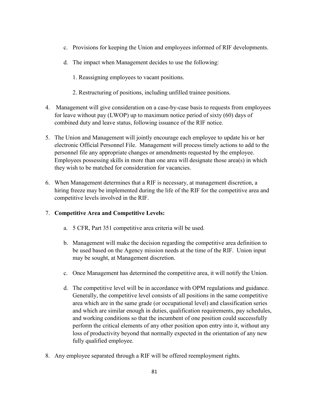- c. Provisions for keeping the Union and employees informed of RIF developments.
- d. The impact when Management decides to use the following:
	- 1. Reassigning employees to vacant positions.
	- 2. Restructuring of positions, including unfilled trainee positions.
- 4. Management will give consideration on a case-by-case basis to requests from employees for leave without pay (LWOP) up to maximum notice period of sixty (60) days of combined duty and leave status, following issuance of the RIF notice.
- 5. The Union and Management will jointly encourage each employee to update his or her electronic Official Personnel File. Management will process timely actions to add to the personnel file any appropriate changes or amendments requested by the employee. Employees possessing skills in more than one area will designate those area(s) in which they wish to be matched for consideration for vacancies.
- 6. When Management determines that a RIF is necessary, at management discretion, a hiring freeze may be implemented during the life of the RIF for the competitive area and competitive levels involved in the RIF.

### 7. **Competitive Area and Competitive Levels:**

- a. 5 CFR, Part 351 competitive area criteria will be used.
- b. Management will make the decision regarding the competitive area definition to be used based on the Agency mission needs at the time of the RIF. Union input may be sought, at Management discretion.
- c. Once Management has determined the competitive area, it will notify the Union.
- d. The competitive level will be in accordance with OPM regulations and guidance. Generally, the competitive level consists of all positions in the same competitive area which are in the same grade (or occupational level) and classification series and which are similar enough in duties, qualification requirements, pay schedules, and working conditions so that the incumbent of one position could successfully perform the critical elements of any other position upon entry into it, without any loss of productivity beyond that normally expected in the orientation of any new fully qualified employee.
- 8. Any employee separated through a RIF will be offered reemployment rights.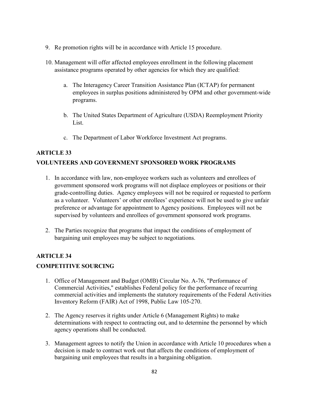- 9. Re promotion rights will be in accordance with Article 15 procedure.
- 10. Management will offer affected employees enrollment in the following placement assistance programs operated by other agencies for which they are qualified:
	- a. The Interagency Career Transition Assistance Plan (ICTAP) for permanent employees in surplus positions administered by OPM and other government-wide programs.
	- b. The United States Department of Agriculture (USDA) Reemployment Priority List.
	- c. The Department of Labor Workforce Investment Act programs.

# **ARTICLE 33 VOLUNTEERS AND GOVERNMENT SPONSORED WORK PROGRAMS**

- 1. In accordance with law, non-employee workers such as volunteers and enrollees of government sponsored work programs will not displace employees or positions or their grade-controlling duties. Agency employees will not be required or requested to perform as a volunteer. Volunteers' or other enrollees' experience will not be used to give unfair preference or advantage for appointment to Agency positions. Employees will not be supervised by volunteers and enrollees of government sponsored work programs.
- 2. The Parties recognize that programs that impact the conditions of employment of bargaining unit employees may be subject to negotiations.

# **ARTICLE 34**

### **COMPETITIVE SOURCING**

- 1. Office of Management and Budget (OMB) Circular No. A-76, "Performance of Commercial Activities," establishes Federal policy for the performance of recurring commercial activities and implements the statutory requirements of the Federal Activities Inventory Reform (FAIR) Act of 1998, Public Law 105-270.
- 2. The Agency reserves it rights under Article 6 (Management Rights) to make determinations with respect to contracting out, and to determine the personnel by which agency operations shall be conducted.
- 3. Management agrees to notify the Union in accordance with Article 10 procedures when a decision is made to contract work out that affects the conditions of employment of bargaining unit employees that results in a bargaining obligation.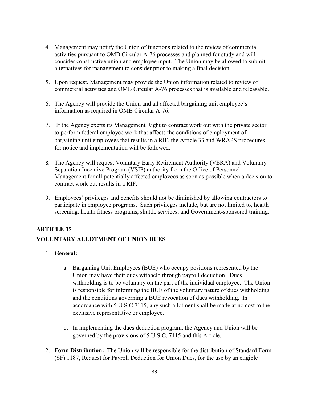- 4. Management may notify the Union of functions related to the review of commercial activities pursuant to OMB Circular A-76 processes and planned for study and will consider constructive union and employee input. The Union may be allowed to submit alternatives for management to consider prior to making a final decision.
- 5. Upon request, Management may provide the Union information related to review of commercial activities and OMB Circular A-76 processes that is available and releasable.
- 6. The Agency will provide the Union and all affected bargaining unit employee's information as required in OMB Circular A-76.
- 7. If the Agency exerts its Management Right to contract work out with the private sector to perform federal employee work that affects the conditions of employment of bargaining unit employees that results in a RIF, the Article 33 and WRAPS procedures for notice and implementation will be followed.
- 8. The Agency will request Voluntary Early Retirement Authority (VERA) and Voluntary Separation Incentive Program (VSIP) authority from the Office of Personnel Management for all potentially affected employees as soon as possible when a decision to contract work out results in a RIF.
- 9. Employees' privileges and benefits should not be diminished by allowing contractors to participate in employee programs. Such privileges include, but are not limited to, health screening, health fitness programs, shuttle services, and Government-sponsored training.

# **ARTICLE 35**

# **VOLUNTARY ALLOTMENT OF UNION DUES**

- 1. **General:**
	- a. Bargaining Unit Employees (BUE) who occupy positions represented by the Union may have their dues withheld through payroll deduction. Dues withholding is to be voluntary on the part of the individual employee. The Union is responsible for informing the BUE of the voluntary nature of dues withholding and the conditions governing a BUE revocation of dues withholding. In accordance with 5 U.S.C 7115, any such allotment shall be made at no cost to the exclusive representative or employee.
	- b. In implementing the dues deduction program, the Agency and Union will be governed by the provisions of 5 U.S.C. 7115 and this Article.
- 2. **Form Distribution:** The Union will be responsible for the distribution of Standard Form (SF) 1187, Request for Payroll Deduction for Union Dues, for the use by an eligible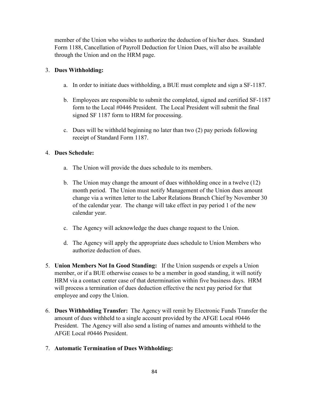member of the Union who wishes to authorize the deduction of his/her dues. Standard Form 1188, Cancellation of Payroll Deduction for Union Dues, will also be available through the Union and on the HRM page.

### 3. **Dues Withholding:**

- a. In order to initiate dues withholding, a BUE must complete and sign a SF-1187.
- b. Employees are responsible to submit the completed, signed and certified SF-1187 form to the Local #0446 President. The Local President will submit the final signed SF 1187 form to HRM for processing.
- c. Dues will be withheld beginning no later than two (2) pay periods following receipt of Standard Form 1187.

### 4. **Dues Schedule:**

- a. The Union will provide the dues schedule to its members.
- b. The Union may change the amount of dues withholding once in a twelve (12) month period. The Union must notify Management of the Union dues amount change via a written letter to the Labor Relations Branch Chief by November 30 of the calendar year. The change will take effect in pay period 1 of the new calendar year.
- c. The Agency will acknowledge the dues change request to the Union.
- d. The Agency will apply the appropriate dues schedule to Union Members who authorize deduction of dues.
- 5. **Union Members Not In Good Standing:** If the Union suspends or expels a Union member, or if a BUE otherwise ceases to be a member in good standing, it will notify HRM via a contact center case of that determination within five business days. HRM will process a termination of dues deduction effective the next pay period for that employee and copy the Union.
- 6. **Dues Withholding Transfer:** The Agency will remit by Electronic Funds Transfer the amount of dues withheld to a single account provided by the AFGE Local #0446 President. The Agency will also send a listing of names and amounts withheld to the AFGE Local #0446 President.
- 7. **Automatic Termination of Dues Withholding:**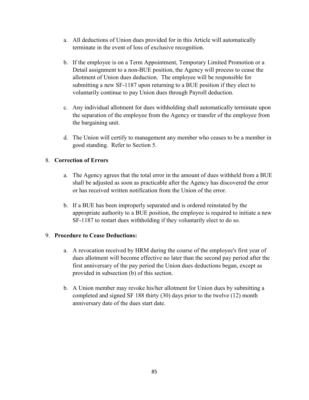- a. All deductions of Union dues provided for in this Article will automatically terminate in the event of loss of exclusive recognition.
- b. If the employee is on a Term Appointment, Temporary Limited Promotion or a Detail assignment to a non-BUE position, the Agency will process to cease the allotment of Union dues deduction. The employee will be responsible for submitting a new SF-1187 upon returning to a BUE position if they elect to voluntarily continue to pay Union dues through Payroll deduction.
- c. Any individual allotment for dues withholding shall automatically terminate upon the separation of the employee from the Agency or transfer of the employee from the bargaining unit.
- d. The Union will certify to management any member who ceases to be a member in good standing. Refer to Section 5.

## 8. **Correction of Errors**

- a. The Agency agrees that the total error in the amount of dues withheld from a BUE shall be adjusted as soon as practicable after the Agency has discovered the error or has received written notification from the Union of the error.
- b. If a BUE has been improperly separated and is ordered reinstated by the appropriate authority to a BUE position, the employee is required to initiate a new SF-1187 to restart dues withholding if they voluntarily elect to do so.

### 9. **Procedure to Cease Deductions:**

- a. A revocation received by HRM during the course of the employee's first year of dues allotment will become effective no later than the second pay period after the first anniversary of the pay period the Union dues deductions began, except as provided in subsection (b) of this section.
- b. A Union member may revoke his/her allotment for Union dues by submitting a completed and signed SF 188 thirty (30) days prior to the twelve (12) month anniversary date of the dues start date.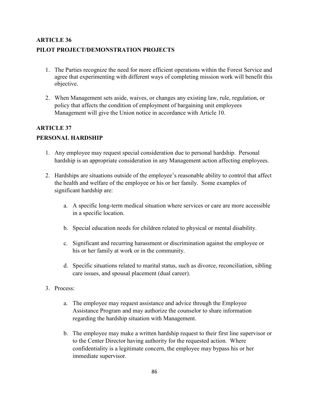# **ARTICLE 36 PILOT PROJECT/DEMONSTRATION PROJECTS**

- 1. The Parties recognize the need for more efficient operations within the Forest Service and agree that experimenting with different ways of completing mission work will benefit this objective.
- 2. When Management sets aside, waives, or changes any existing law, rule, regulation, or policy that affects the condition of employment of bargaining unit employees Management will give the Union notice in accordance with Article 10.

# **ARTICLE 37**

# **PERSONAL HARDSHIP**

- 1. Any employee may request special consideration due to personal hardship. Personal hardship is an appropriate consideration in any Management action affecting employees.
- 2. Hardships are situations outside of the employee's reasonable ability to control that affect the health and welfare of the employee or his or her family. Some examples of significant hardship are:
	- a. A specific long-term medical situation where services or care are more accessible in a specific location.
	- b. Special education needs for children related to physical or mental disability.
	- c. Significant and recurring harassment or discrimination against the employee or his or her family at work or in the community.
	- d. Specific situations related to marital status, such as divorce, reconciliation, sibling care issues, and spousal placement (dual career).
- 3. Process:
	- a. The employee may request assistance and advice through the Employee Assistance Program and may authorize the counselor to share information regarding the hardship situation with Management.
	- b. The employee may make a written hardship request to their first line supervisor or to the Center Director having authority for the requested action. Where confidentiality is a legitimate concern, the employee may bypass his or her immediate supervisor.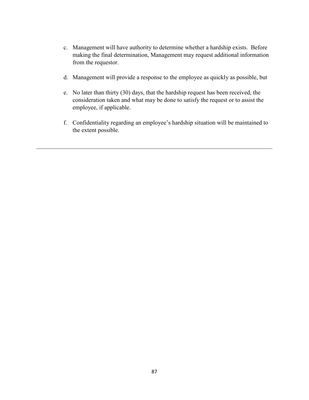- c. Management will have authority to determine whether a hardship exists. Before making the final determination, Management may request additional information from the requestor.
- d. Management will provide a response to the employee as quickly as possible, but
- e. No later than thirty (30) days, that the hardship request has been received, the consideration taken and what may be done to satisfy the request or to assist the employee, if applicable.
- f. Confidentiality regarding an employee's hardship situation will be maintained to the extent possible.